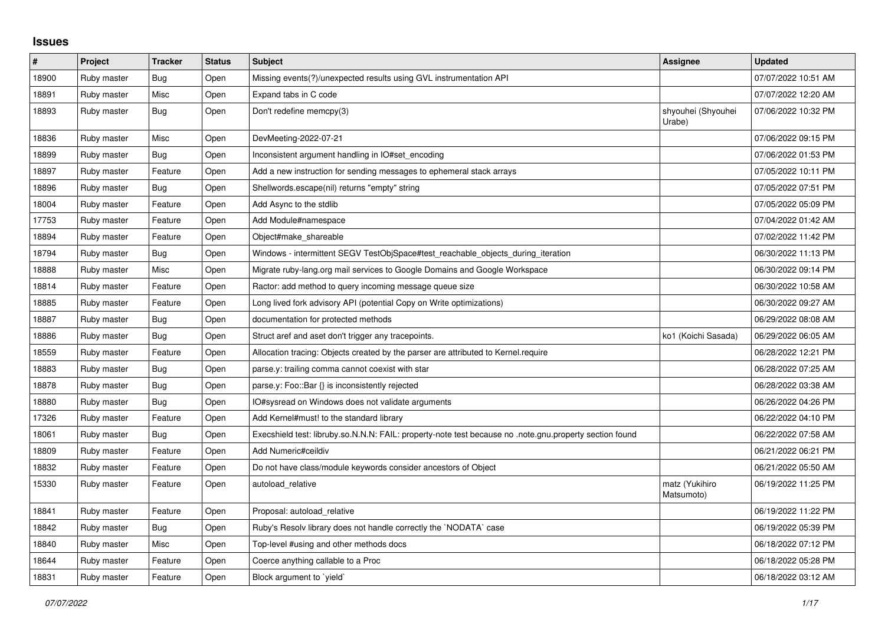## **Issues**

| $\pmb{\#}$ | Project     | <b>Tracker</b> | <b>Status</b> | <b>Subject</b>                                                                                          | <b>Assignee</b>              | <b>Updated</b>      |
|------------|-------------|----------------|---------------|---------------------------------------------------------------------------------------------------------|------------------------------|---------------------|
| 18900      | Ruby master | Bug            | Open          | Missing events(?)/unexpected results using GVL instrumentation API                                      |                              | 07/07/2022 10:51 AM |
| 18891      | Ruby master | Misc           | Open          | Expand tabs in C code                                                                                   |                              | 07/07/2022 12:20 AM |
| 18893      | Ruby master | Bug            | Open          | Don't redefine memcpy(3)                                                                                | shyouhei (Shyouhei<br>Urabe) | 07/06/2022 10:32 PM |
| 18836      | Ruby master | Misc           | Open          | DevMeeting-2022-07-21                                                                                   |                              | 07/06/2022 09:15 PM |
| 18899      | Ruby master | Bug            | Open          | Inconsistent argument handling in IO#set_encoding                                                       |                              | 07/06/2022 01:53 PM |
| 18897      | Ruby master | Feature        | Open          | Add a new instruction for sending messages to ephemeral stack arrays                                    |                              | 07/05/2022 10:11 PM |
| 18896      | Ruby master | Bug            | Open          | Shellwords.escape(nil) returns "empty" string                                                           |                              | 07/05/2022 07:51 PM |
| 18004      | Ruby master | Feature        | Open          | Add Async to the stdlib                                                                                 |                              | 07/05/2022 05:09 PM |
| 17753      | Ruby master | Feature        | Open          | Add Module#namespace                                                                                    |                              | 07/04/2022 01:42 AM |
| 18894      | Ruby master | Feature        | Open          | Object#make_shareable                                                                                   |                              | 07/02/2022 11:42 PM |
| 18794      | Ruby master | <b>Bug</b>     | Open          | Windows - intermittent SEGV TestObjSpace#test reachable objects during iteration                        |                              | 06/30/2022 11:13 PM |
| 18888      | Ruby master | Misc           | Open          | Migrate ruby-lang.org mail services to Google Domains and Google Workspace                              |                              | 06/30/2022 09:14 PM |
| 18814      | Ruby master | Feature        | Open          | Ractor: add method to query incoming message queue size                                                 |                              | 06/30/2022 10:58 AM |
| 18885      | Ruby master | Feature        | Open          | Long lived fork advisory API (potential Copy on Write optimizations)                                    |                              | 06/30/2022 09:27 AM |
| 18887      | Ruby master | <b>Bug</b>     | Open          | documentation for protected methods                                                                     |                              | 06/29/2022 08:08 AM |
| 18886      | Ruby master | Bug            | Open          | Struct aref and aset don't trigger any tracepoints.                                                     | ko1 (Koichi Sasada)          | 06/29/2022 06:05 AM |
| 18559      | Ruby master | Feature        | Open          | Allocation tracing: Objects created by the parser are attributed to Kernel.require                      |                              | 06/28/2022 12:21 PM |
| 18883      | Ruby master | Bug            | Open          | parse.y: trailing comma cannot coexist with star                                                        |                              | 06/28/2022 07:25 AM |
| 18878      | Ruby master | Bug            | Open          | parse.y: Foo::Bar {} is inconsistently rejected                                                         |                              | 06/28/2022 03:38 AM |
| 18880      | Ruby master | Bug            | Open          | IO#sysread on Windows does not validate arguments                                                       |                              | 06/26/2022 04:26 PM |
| 17326      | Ruby master | Feature        | Open          | Add Kernel#must! to the standard library                                                                |                              | 06/22/2022 04:10 PM |
| 18061      | Ruby master | Bug            | Open          | Execshield test: libruby.so.N.N.N: FAIL: property-note test because no .note.gnu.property section found |                              | 06/22/2022 07:58 AM |
| 18809      | Ruby master | Feature        | Open          | Add Numeric#ceildiv                                                                                     |                              | 06/21/2022 06:21 PM |
| 18832      | Ruby master | Feature        | Open          | Do not have class/module keywords consider ancestors of Object                                          |                              | 06/21/2022 05:50 AM |
| 15330      | Ruby master | Feature        | Open          | autoload relative                                                                                       | matz (Yukihiro<br>Matsumoto) | 06/19/2022 11:25 PM |
| 18841      | Ruby master | Feature        | Open          | Proposal: autoload_relative                                                                             |                              | 06/19/2022 11:22 PM |
| 18842      | Ruby master | Bug            | Open          | Ruby's Resolv library does not handle correctly the `NODATA` case                                       |                              | 06/19/2022 05:39 PM |
| 18840      | Ruby master | Misc           | Open          | Top-level #using and other methods docs                                                                 |                              | 06/18/2022 07:12 PM |
| 18644      | Ruby master | Feature        | Open          | Coerce anything callable to a Proc                                                                      |                              | 06/18/2022 05:28 PM |
| 18831      | Ruby master | Feature        | Open          | Block argument to 'yield'                                                                               |                              | 06/18/2022 03:12 AM |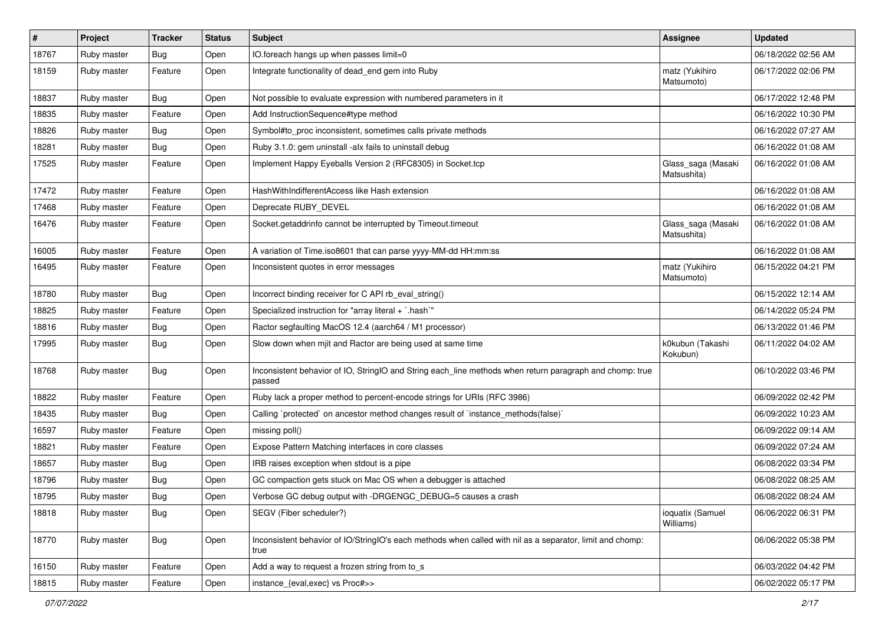| #     | Project     | <b>Tracker</b> | <b>Status</b> | Subject                                                                                                            | <b>Assignee</b>                   | <b>Updated</b>      |
|-------|-------------|----------------|---------------|--------------------------------------------------------------------------------------------------------------------|-----------------------------------|---------------------|
| 18767 | Ruby master | Bug            | Open          | IO.foreach hangs up when passes limit=0                                                                            |                                   | 06/18/2022 02:56 AM |
| 18159 | Ruby master | Feature        | Open          | Integrate functionality of dead_end gem into Ruby                                                                  | matz (Yukihiro<br>Matsumoto)      | 06/17/2022 02:06 PM |
| 18837 | Ruby master | <b>Bug</b>     | Open          | Not possible to evaluate expression with numbered parameters in it                                                 |                                   | 06/17/2022 12:48 PM |
| 18835 | Ruby master | Feature        | Open          | Add InstructionSequence#type method                                                                                |                                   | 06/16/2022 10:30 PM |
| 18826 | Ruby master | <b>Bug</b>     | Open          | Symbol#to_proc inconsistent, sometimes calls private methods                                                       |                                   | 06/16/2022 07:27 AM |
| 18281 | Ruby master | Bug            | Open          | Ruby 3.1.0: gem uninstall -alx fails to uninstall debug                                                            |                                   | 06/16/2022 01:08 AM |
| 17525 | Ruby master | Feature        | Open          | Implement Happy Eyeballs Version 2 (RFC8305) in Socket.tcp                                                         | Glass_saga (Masaki<br>Matsushita) | 06/16/2022 01:08 AM |
| 17472 | Ruby master | Feature        | Open          | HashWithIndifferentAccess like Hash extension                                                                      |                                   | 06/16/2022 01:08 AM |
| 17468 | Ruby master | Feature        | Open          | Deprecate RUBY_DEVEL                                                                                               |                                   | 06/16/2022 01:08 AM |
| 16476 | Ruby master | Feature        | Open          | Socket.getaddrinfo cannot be interrupted by Timeout.timeout                                                        | Glass_saga (Masaki<br>Matsushita) | 06/16/2022 01:08 AM |
| 16005 | Ruby master | Feature        | Open          | A variation of Time.iso8601 that can parse yyyy-MM-dd HH:mm:ss                                                     |                                   | 06/16/2022 01:08 AM |
| 16495 | Ruby master | Feature        | Open          | Inconsistent quotes in error messages                                                                              | matz (Yukihiro<br>Matsumoto)      | 06/15/2022 04:21 PM |
| 18780 | Ruby master | Bug            | Open          | Incorrect binding receiver for C API rb_eval_string()                                                              |                                   | 06/15/2022 12:14 AM |
| 18825 | Ruby master | Feature        | Open          | Specialized instruction for "array literal + `.hash`"                                                              |                                   | 06/14/2022 05:24 PM |
| 18816 | Ruby master | Bug            | Open          | Ractor segfaulting MacOS 12.4 (aarch64 / M1 processor)                                                             |                                   | 06/13/2022 01:46 PM |
| 17995 | Ruby master | Bug            | Open          | Slow down when mjit and Ractor are being used at same time                                                         | k0kubun (Takashi<br>Kokubun)      | 06/11/2022 04:02 AM |
| 18768 | Ruby master | Bug            | Open          | Inconsistent behavior of IO, StringIO and String each_line methods when return paragraph and chomp: true<br>passed |                                   | 06/10/2022 03:46 PM |
| 18822 | Ruby master | Feature        | Open          | Ruby lack a proper method to percent-encode strings for URIs (RFC 3986)                                            |                                   | 06/09/2022 02:42 PM |
| 18435 | Ruby master | <b>Bug</b>     | Open          | Calling `protected` on ancestor method changes result of `instance_methods(false)`                                 |                                   | 06/09/2022 10:23 AM |
| 16597 | Ruby master | Feature        | Open          | missing poll()                                                                                                     |                                   | 06/09/2022 09:14 AM |
| 18821 | Ruby master | Feature        | Open          | Expose Pattern Matching interfaces in core classes                                                                 |                                   | 06/09/2022 07:24 AM |
| 18657 | Ruby master | Bug            | Open          | IRB raises exception when stdout is a pipe                                                                         |                                   | 06/08/2022 03:34 PM |
| 18796 | Ruby master | Bug            | Open          | GC compaction gets stuck on Mac OS when a debugger is attached                                                     |                                   | 06/08/2022 08:25 AM |
| 18795 | Ruby master | Bug            | Open          | Verbose GC debug output with -DRGENGC_DEBUG=5 causes a crash                                                       |                                   | 06/08/2022 08:24 AM |
| 18818 | Ruby master | Bug            | Open          | SEGV (Fiber scheduler?)                                                                                            | ioquatix (Samuel<br>Williams)     | 06/06/2022 06:31 PM |
| 18770 | Ruby master | Bug            | Open          | Inconsistent behavior of IO/StringIO's each methods when called with nil as a separator, limit and chomp:<br>true  |                                   | 06/06/2022 05:38 PM |
| 16150 | Ruby master | Feature        | Open          | Add a way to request a frozen string from to s                                                                     |                                   | 06/03/2022 04:42 PM |
| 18815 | Ruby master | Feature        | Open          | instance_{eval,exec} vs Proc#>>                                                                                    |                                   | 06/02/2022 05:17 PM |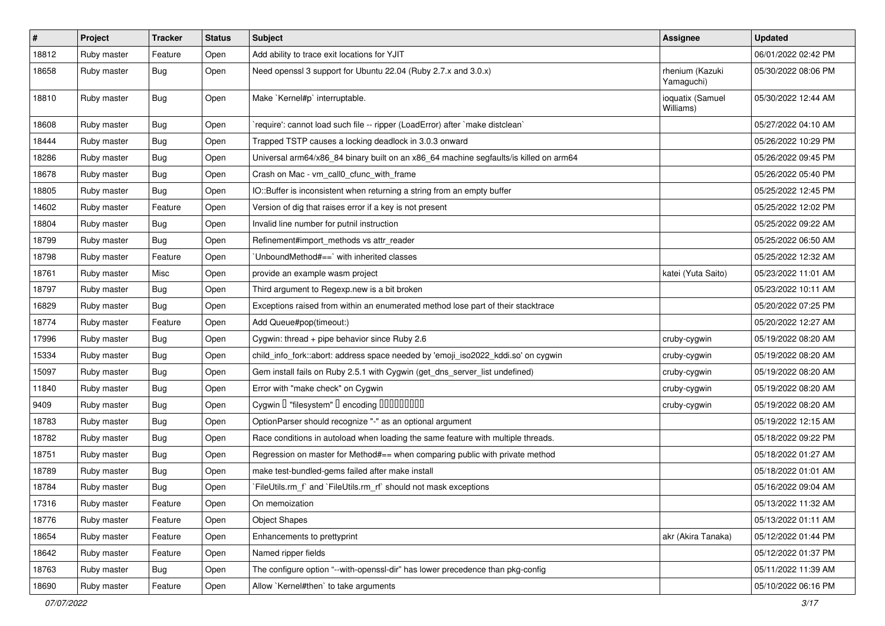| $\vert$ # | Project     | <b>Tracker</b> | <b>Status</b> | Subject                                                                               | <b>Assignee</b>               | <b>Updated</b>      |
|-----------|-------------|----------------|---------------|---------------------------------------------------------------------------------------|-------------------------------|---------------------|
| 18812     | Ruby master | Feature        | Open          | Add ability to trace exit locations for YJIT                                          |                               | 06/01/2022 02:42 PM |
| 18658     | Ruby master | Bug            | Open          | Need openssl 3 support for Ubuntu 22.04 (Ruby 2.7.x and 3.0.x)                        | rhenium (Kazuki<br>Yamaguchi) | 05/30/2022 08:06 PM |
| 18810     | Ruby master | Bug            | Open          | Make `Kernel#p` interruptable.                                                        | ioquatix (Samuel<br>Williams) | 05/30/2022 12:44 AM |
| 18608     | Ruby master | Bug            | Open          | 'require': cannot load such file -- ripper (LoadError) after 'make distclean'         |                               | 05/27/2022 04:10 AM |
| 18444     | Ruby master | Bug            | Open          | Trapped TSTP causes a locking deadlock in 3.0.3 onward                                |                               | 05/26/2022 10:29 PM |
| 18286     | Ruby master | Bug            | Open          | Universal arm64/x86_84 binary built on an x86_64 machine segfaults/is killed on arm64 |                               | 05/26/2022 09:45 PM |
| 18678     | Ruby master | Bug            | Open          | Crash on Mac - vm_call0_cfunc_with_frame                                              |                               | 05/26/2022 05:40 PM |
| 18805     | Ruby master | Bug            | Open          | IO::Buffer is inconsistent when returning a string from an empty buffer               |                               | 05/25/2022 12:45 PM |
| 14602     | Ruby master | Feature        | Open          | Version of dig that raises error if a key is not present                              |                               | 05/25/2022 12:02 PM |
| 18804     | Ruby master | Bug            | Open          | Invalid line number for putnil instruction                                            |                               | 05/25/2022 09:22 AM |
| 18799     | Ruby master | Bug            | Open          | Refinement#import_methods vs attr_reader                                              |                               | 05/25/2022 06:50 AM |
| 18798     | Ruby master | Feature        | Open          | UnboundMethod#==`with inherited classes                                               |                               | 05/25/2022 12:32 AM |
| 18761     | Ruby master | Misc           | Open          | provide an example wasm project                                                       | katei (Yuta Saito)            | 05/23/2022 11:01 AM |
| 18797     | Ruby master | Bug            | Open          | Third argument to Regexp.new is a bit broken                                          |                               | 05/23/2022 10:11 AM |
| 16829     | Ruby master | Bug            | Open          | Exceptions raised from within an enumerated method lose part of their stacktrace      |                               | 05/20/2022 07:25 PM |
| 18774     | Ruby master | Feature        | Open          | Add Queue#pop(timeout:)                                                               |                               | 05/20/2022 12:27 AM |
| 17996     | Ruby master | <b>Bug</b>     | Open          | Cygwin: thread + pipe behavior since Ruby 2.6                                         | cruby-cygwin                  | 05/19/2022 08:20 AM |
| 15334     | Ruby master | Bug            | Open          | child_info_fork::abort: address space needed by 'emoji_iso2022_kddi.so' on cygwin     | cruby-cygwin                  | 05/19/2022 08:20 AM |
| 15097     | Ruby master | Bug            | Open          | Gem install fails on Ruby 2.5.1 with Cygwin (get_dns_server_list undefined)           | cruby-cygwin                  | 05/19/2022 08:20 AM |
| 11840     | Ruby master | Bug            | Open          | Error with "make check" on Cygwin                                                     | cruby-cygwin                  | 05/19/2022 08:20 AM |
| 9409      | Ruby master | Bug            | Open          | Cygwin I "filesystem" I encoding IIIIIIIIIIIII                                        | cruby-cygwin                  | 05/19/2022 08:20 AM |
| 18783     | Ruby master | <b>Bug</b>     | Open          | OptionParser should recognize "-" as an optional argument                             |                               | 05/19/2022 12:15 AM |
| 18782     | Ruby master | <b>Bug</b>     | Open          | Race conditions in autoload when loading the same feature with multiple threads.      |                               | 05/18/2022 09:22 PM |
| 18751     | Ruby master | Bug            | Open          | Regression on master for Method#== when comparing public with private method          |                               | 05/18/2022 01:27 AM |
| 18789     | Ruby master | Bug            | Open          | make test-bundled-gems failed after make install                                      |                               | 05/18/2022 01:01 AM |
| 18784     | Ruby master | <b>Bug</b>     | Open          | FileUtils.rm_f` and `FileUtils.rm_rf` should not mask exceptions                      |                               | 05/16/2022 09:04 AM |
| 17316     | Ruby master | Feature        | Open          | On memoization                                                                        |                               | 05/13/2022 11:32 AM |
| 18776     | Ruby master | Feature        | Open          | <b>Object Shapes</b>                                                                  |                               | 05/13/2022 01:11 AM |
| 18654     | Ruby master | Feature        | Open          | Enhancements to prettyprint                                                           | akr (Akira Tanaka)            | 05/12/2022 01:44 PM |
| 18642     | Ruby master | Feature        | Open          | Named ripper fields                                                                   |                               | 05/12/2022 01:37 PM |
| 18763     | Ruby master | <b>Bug</b>     | Open          | The configure option "--with-openssl-dir" has lower precedence than pkg-config        |                               | 05/11/2022 11:39 AM |
| 18690     | Ruby master | Feature        | Open          | Allow `Kernel#then` to take arguments                                                 |                               | 05/10/2022 06:16 PM |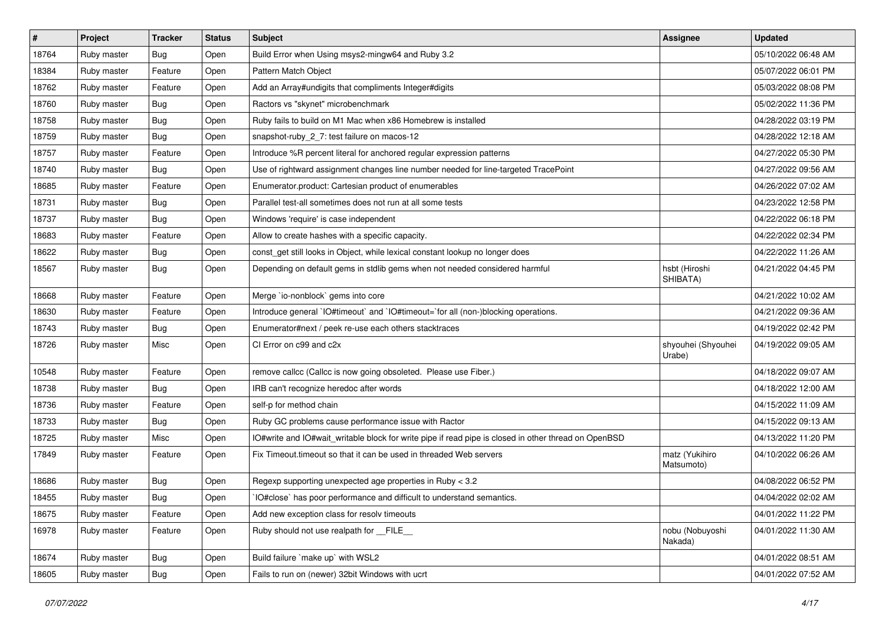| #     | Project     | <b>Tracker</b> | <b>Status</b> | Subject                                                                                              | <b>Assignee</b>              | <b>Updated</b>      |
|-------|-------------|----------------|---------------|------------------------------------------------------------------------------------------------------|------------------------------|---------------------|
| 18764 | Ruby master | <b>Bug</b>     | Open          | Build Error when Using msys2-mingw64 and Ruby 3.2                                                    |                              | 05/10/2022 06:48 AM |
| 18384 | Ruby master | Feature        | Open          | Pattern Match Object                                                                                 |                              | 05/07/2022 06:01 PM |
| 18762 | Ruby master | Feature        | Open          | Add an Array#undigits that compliments Integer#digits                                                |                              | 05/03/2022 08:08 PM |
| 18760 | Ruby master | <b>Bug</b>     | Open          | Ractors vs "skynet" microbenchmark                                                                   |                              | 05/02/2022 11:36 PM |
| 18758 | Ruby master | Bug            | Open          | Ruby fails to build on M1 Mac when x86 Homebrew is installed                                         |                              | 04/28/2022 03:19 PM |
| 18759 | Ruby master | Bug            | Open          | snapshot-ruby_2_7: test failure on macos-12                                                          |                              | 04/28/2022 12:18 AM |
| 18757 | Ruby master | Feature        | Open          | Introduce %R percent literal for anchored regular expression patterns                                |                              | 04/27/2022 05:30 PM |
| 18740 | Ruby master | Bug            | Open          | Use of rightward assignment changes line number needed for line-targeted TracePoint                  |                              | 04/27/2022 09:56 AM |
| 18685 | Ruby master | Feature        | Open          | Enumerator.product: Cartesian product of enumerables                                                 |                              | 04/26/2022 07:02 AM |
| 18731 | Ruby master | Bug            | Open          | Parallel test-all sometimes does not run at all some tests                                           |                              | 04/23/2022 12:58 PM |
| 18737 | Ruby master | <b>Bug</b>     | Open          | Windows 'require' is case independent                                                                |                              | 04/22/2022 06:18 PM |
| 18683 | Ruby master | Feature        | Open          | Allow to create hashes with a specific capacity.                                                     |                              | 04/22/2022 02:34 PM |
| 18622 | Ruby master | <b>Bug</b>     | Open          | const_get still looks in Object, while lexical constant lookup no longer does                        |                              | 04/22/2022 11:26 AM |
| 18567 | Ruby master | <b>Bug</b>     | Open          | Depending on default gems in stdlib gems when not needed considered harmful                          | hsbt (Hiroshi<br>SHIBATA)    | 04/21/2022 04:45 PM |
| 18668 | Ruby master | Feature        | Open          | Merge `io-nonblock` gems into core                                                                   |                              | 04/21/2022 10:02 AM |
| 18630 | Ruby master | Feature        | Open          | Introduce general `IO#timeout` and `IO#timeout=`for all (non-)blocking operations.                   |                              | 04/21/2022 09:36 AM |
| 18743 | Ruby master | <b>Bug</b>     | Open          | Enumerator#next / peek re-use each others stacktraces                                                |                              | 04/19/2022 02:42 PM |
| 18726 | Ruby master | Misc           | Open          | CI Error on c99 and c2x                                                                              | shyouhei (Shyouhei<br>Urabe) | 04/19/2022 09:05 AM |
| 10548 | Ruby master | Feature        | Open          | remove callcc (Callcc is now going obsoleted. Please use Fiber.)                                     |                              | 04/18/2022 09:07 AM |
| 18738 | Ruby master | <b>Bug</b>     | Open          | IRB can't recognize heredoc after words                                                              |                              | 04/18/2022 12:00 AM |
| 18736 | Ruby master | Feature        | Open          | self-p for method chain                                                                              |                              | 04/15/2022 11:09 AM |
| 18733 | Ruby master | <b>Bug</b>     | Open          | Ruby GC problems cause performance issue with Ractor                                                 |                              | 04/15/2022 09:13 AM |
| 18725 | Ruby master | Misc           | Open          | IO#write and IO#wait_writable block for write pipe if read pipe is closed in other thread on OpenBSD |                              | 04/13/2022 11:20 PM |
| 17849 | Ruby master | Feature        | Open          | Fix Timeout timeout so that it can be used in threaded Web servers                                   | matz (Yukihiro<br>Matsumoto) | 04/10/2022 06:26 AM |
| 18686 | Ruby master | <b>Bug</b>     | Open          | Regexp supporting unexpected age properties in Ruby < 3.2                                            |                              | 04/08/2022 06:52 PM |
| 18455 | Ruby master | Bug            | Open          | IO#close` has poor performance and difficult to understand semantics.                                |                              | 04/04/2022 02:02 AM |
| 18675 | Ruby master | Feature        | Open          | Add new exception class for resolv timeouts                                                          |                              | 04/01/2022 11:22 PM |
| 16978 | Ruby master | Feature        | Open          | Ruby should not use realpath for FILE                                                                | nobu (Nobuyoshi<br>Nakada)   | 04/01/2022 11:30 AM |
| 18674 | Ruby master | <b>Bug</b>     | Open          | Build failure 'make up' with WSL2                                                                    |                              | 04/01/2022 08:51 AM |
| 18605 | Ruby master | <b>Bug</b>     | Open          | Fails to run on (newer) 32bit Windows with ucrt                                                      |                              | 04/01/2022 07:52 AM |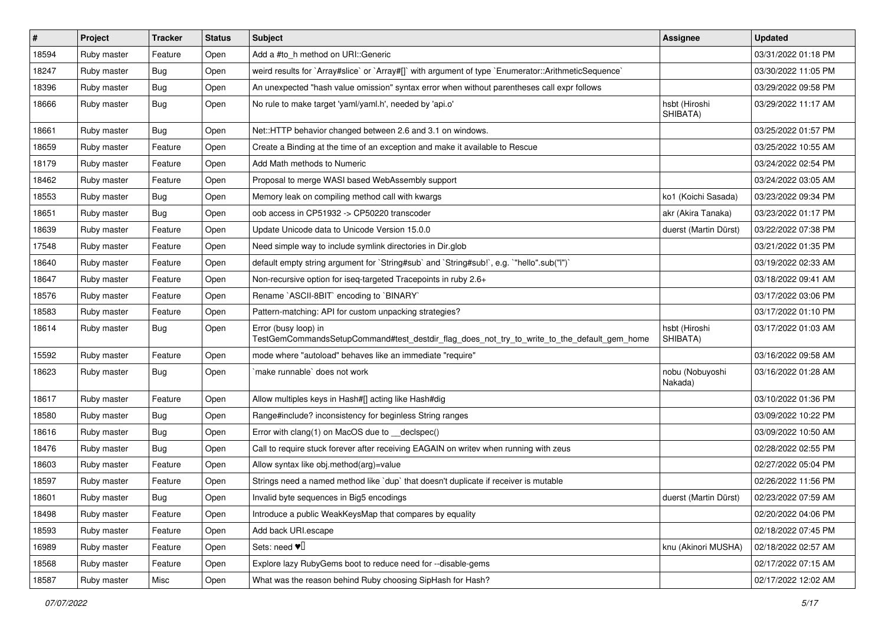| $\sharp$ | Project     | <b>Tracker</b> | <b>Status</b> | Subject                                                                                                             | <b>Assignee</b>            | <b>Updated</b>      |
|----------|-------------|----------------|---------------|---------------------------------------------------------------------------------------------------------------------|----------------------------|---------------------|
| 18594    | Ruby master | Feature        | Open          | Add a #to_h method on URI::Generic                                                                                  |                            | 03/31/2022 01:18 PM |
| 18247    | Ruby master | <b>Bug</b>     | Open          | weird results for `Array#slice` or `Array#[]` with argument of type `Enumerator::ArithmeticSequence`                |                            | 03/30/2022 11:05 PM |
| 18396    | Ruby master | <b>Bug</b>     | Open          | An unexpected "hash value omission" syntax error when without parentheses call expr follows                         |                            | 03/29/2022 09:58 PM |
| 18666    | Ruby master | <b>Bug</b>     | Open          | No rule to make target 'yaml/yaml.h', needed by 'api.o'                                                             | hsbt (Hiroshi<br>SHIBATA)  | 03/29/2022 11:17 AM |
| 18661    | Ruby master | <b>Bug</b>     | Open          | Net::HTTP behavior changed between 2.6 and 3.1 on windows.                                                          |                            | 03/25/2022 01:57 PM |
| 18659    | Ruby master | Feature        | Open          | Create a Binding at the time of an exception and make it available to Rescue                                        |                            | 03/25/2022 10:55 AM |
| 18179    | Ruby master | Feature        | Open          | Add Math methods to Numeric                                                                                         |                            | 03/24/2022 02:54 PM |
| 18462    | Ruby master | Feature        | Open          | Proposal to merge WASI based WebAssembly support                                                                    |                            | 03/24/2022 03:05 AM |
| 18553    | Ruby master | <b>Bug</b>     | Open          | Memory leak on compiling method call with kwargs                                                                    | ko1 (Koichi Sasada)        | 03/23/2022 09:34 PM |
| 18651    | Ruby master | <b>Bug</b>     | Open          | oob access in CP51932 -> CP50220 transcoder                                                                         | akr (Akira Tanaka)         | 03/23/2022 01:17 PM |
| 18639    | Ruby master | Feature        | Open          | Update Unicode data to Unicode Version 15.0.0                                                                       | duerst (Martin Dürst)      | 03/22/2022 07:38 PM |
| 17548    | Ruby master | Feature        | Open          | Need simple way to include symlink directories in Dir.glob                                                          |                            | 03/21/2022 01:35 PM |
| 18640    | Ruby master | Feature        | Open          | default empty string argument for `String#sub` and `String#sub!`, e.g. `"hello".sub("I")`                           |                            | 03/19/2022 02:33 AM |
| 18647    | Ruby master | Feature        | Open          | Non-recursive option for iseq-targeted Tracepoints in ruby 2.6+                                                     |                            | 03/18/2022 09:41 AM |
| 18576    | Ruby master | Feature        | Open          | Rename `ASCII-8BIT` encoding to `BINARY`                                                                            |                            | 03/17/2022 03:06 PM |
| 18583    | Ruby master | Feature        | Open          | Pattern-matching: API for custom unpacking strategies?                                                              |                            | 03/17/2022 01:10 PM |
| 18614    | Ruby master | <b>Bug</b>     | Open          | Error (busy loop) in<br>TestGemCommandsSetupCommand#test_destdir_flag_does_not_try_to_write_to_the_default_gem_home | hsbt (Hiroshi<br>SHIBATA)  | 03/17/2022 01:03 AM |
| 15592    | Ruby master | Feature        | Open          | mode where "autoload" behaves like an immediate "require"                                                           |                            | 03/16/2022 09:58 AM |
| 18623    | Ruby master | <b>Bug</b>     | Open          | make runnable' does not work                                                                                        | nobu (Nobuyoshi<br>Nakada) | 03/16/2022 01:28 AM |
| 18617    | Ruby master | Feature        | Open          | Allow multiples keys in Hash#[] acting like Hash#dig                                                                |                            | 03/10/2022 01:36 PM |
| 18580    | Ruby master | <b>Bug</b>     | Open          | Range#include? inconsistency for beginless String ranges                                                            |                            | 03/09/2022 10:22 PM |
| 18616    | Ruby master | <b>Bug</b>     | Open          | Error with clang(1) on MacOS due to _declspec()                                                                     |                            | 03/09/2022 10:50 AM |
| 18476    | Ruby master | <b>Bug</b>     | Open          | Call to require stuck forever after receiving EAGAIN on writev when running with zeus                               |                            | 02/28/2022 02:55 PM |
| 18603    | Ruby master | Feature        | Open          | Allow syntax like obj.method(arg)=value                                                                             |                            | 02/27/2022 05:04 PM |
| 18597    | Ruby master | Feature        | Open          | Strings need a named method like 'dup' that doesn't duplicate if receiver is mutable                                |                            | 02/26/2022 11:56 PM |
| 18601    | Ruby master | Bug            | Open          | Invalid byte sequences in Big5 encodings                                                                            | duerst (Martin Dürst)      | 02/23/2022 07:59 AM |
| 18498    | Ruby master | Feature        | Open          | Introduce a public WeakKeysMap that compares by equality                                                            |                            | 02/20/2022 04:06 PM |
| 18593    | Ruby master | Feature        | Open          | Add back URI.escape                                                                                                 |                            | 02/18/2022 07:45 PM |
| 16989    | Ruby master | Feature        | Open          | Sets: need $\Psi$ <sup>[]</sup>                                                                                     | knu (Akinori MUSHA)        | 02/18/2022 02:57 AM |
| 18568    | Ruby master | Feature        | Open          | Explore lazy RubyGems boot to reduce need for --disable-gems                                                        |                            | 02/17/2022 07:15 AM |
| 18587    | Ruby master | Misc           | Open          | What was the reason behind Ruby choosing SipHash for Hash?                                                          |                            | 02/17/2022 12:02 AM |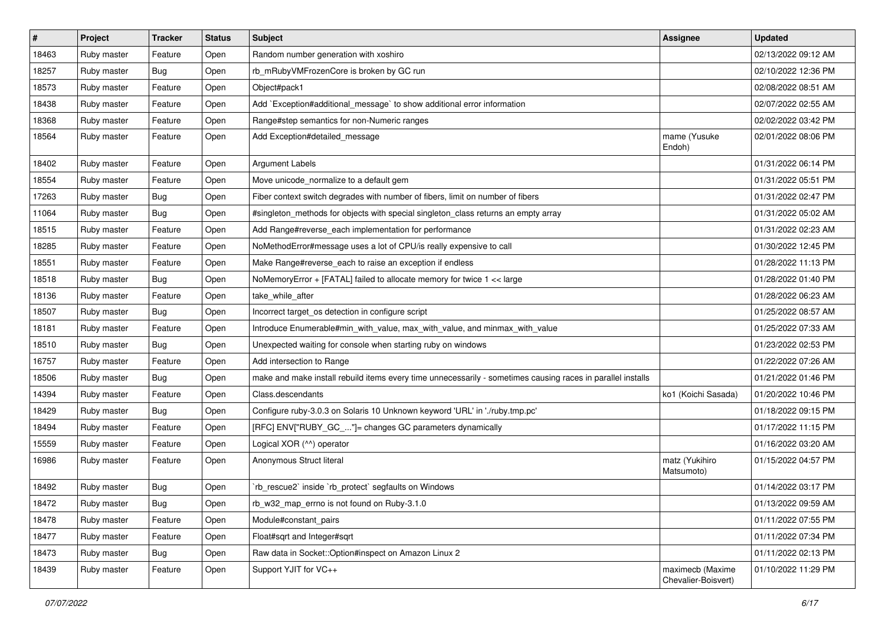| #     | Project     | <b>Tracker</b> | <b>Status</b> | Subject                                                                                                     | <b>Assignee</b>                         | <b>Updated</b>      |
|-------|-------------|----------------|---------------|-------------------------------------------------------------------------------------------------------------|-----------------------------------------|---------------------|
| 18463 | Ruby master | Feature        | Open          | Random number generation with xoshiro                                                                       |                                         | 02/13/2022 09:12 AM |
| 18257 | Ruby master | <b>Bug</b>     | Open          | rb_mRubyVMFrozenCore is broken by GC run                                                                    |                                         | 02/10/2022 12:36 PM |
| 18573 | Ruby master | Feature        | Open          | Object#pack1                                                                                                |                                         | 02/08/2022 08:51 AM |
| 18438 | Ruby master | Feature        | Open          | Add `Exception#additional_message` to show additional error information                                     |                                         | 02/07/2022 02:55 AM |
| 18368 | Ruby master | Feature        | Open          | Range#step semantics for non-Numeric ranges                                                                 |                                         | 02/02/2022 03:42 PM |
| 18564 | Ruby master | Feature        | Open          | Add Exception#detailed_message                                                                              | mame (Yusuke<br>Endoh)                  | 02/01/2022 08:06 PM |
| 18402 | Ruby master | Feature        | Open          | <b>Argument Labels</b>                                                                                      |                                         | 01/31/2022 06:14 PM |
| 18554 | Ruby master | Feature        | Open          | Move unicode_normalize to a default gem                                                                     |                                         | 01/31/2022 05:51 PM |
| 17263 | Ruby master | <b>Bug</b>     | Open          | Fiber context switch degrades with number of fibers, limit on number of fibers                              |                                         | 01/31/2022 02:47 PM |
| 11064 | Ruby master | <b>Bug</b>     | Open          | #singleton_methods for objects with special singleton_class returns an empty array                          |                                         | 01/31/2022 05:02 AM |
| 18515 | Ruby master | Feature        | Open          | Add Range#reverse_each implementation for performance                                                       |                                         | 01/31/2022 02:23 AM |
| 18285 | Ruby master | Feature        | Open          | NoMethodError#message uses a lot of CPU/is really expensive to call                                         |                                         | 01/30/2022 12:45 PM |
| 18551 | Ruby master | Feature        | Open          | Make Range#reverse_each to raise an exception if endless                                                    |                                         | 01/28/2022 11:13 PM |
| 18518 | Ruby master | <b>Bug</b>     | Open          | NoMemoryError + [FATAL] failed to allocate memory for twice 1 << large                                      |                                         | 01/28/2022 01:40 PM |
| 18136 | Ruby master | Feature        | Open          | take_while_after                                                                                            |                                         | 01/28/2022 06:23 AM |
| 18507 | Ruby master | <b>Bug</b>     | Open          | Incorrect target_os detection in configure script                                                           |                                         | 01/25/2022 08:57 AM |
| 18181 | Ruby master | Feature        | Open          | Introduce Enumerable#min_with_value, max_with_value, and minmax_with_value                                  |                                         | 01/25/2022 07:33 AM |
| 18510 | Ruby master | <b>Bug</b>     | Open          | Unexpected waiting for console when starting ruby on windows                                                |                                         | 01/23/2022 02:53 PM |
| 16757 | Ruby master | Feature        | Open          | Add intersection to Range                                                                                   |                                         | 01/22/2022 07:26 AM |
| 18506 | Ruby master | <b>Bug</b>     | Open          | make and make install rebuild items every time unnecessarily - sometimes causing races in parallel installs |                                         | 01/21/2022 01:46 PM |
| 14394 | Ruby master | Feature        | Open          | Class.descendants                                                                                           | ko1 (Koichi Sasada)                     | 01/20/2022 10:46 PM |
| 18429 | Ruby master | <b>Bug</b>     | Open          | Configure ruby-3.0.3 on Solaris 10 Unknown keyword 'URL' in './ruby.tmp.pc'                                 |                                         | 01/18/2022 09:15 PM |
| 18494 | Ruby master | Feature        | Open          | [RFC] ENV["RUBY_GC_"]= changes GC parameters dynamically                                                    |                                         | 01/17/2022 11:15 PM |
| 15559 | Ruby master | Feature        | Open          | Logical XOR (^^) operator                                                                                   |                                         | 01/16/2022 03:20 AM |
| 16986 | Ruby master | Feature        | Open          | Anonymous Struct literal                                                                                    | matz (Yukihiro<br>Matsumoto)            | 01/15/2022 04:57 PM |
| 18492 | Ruby master | Bug            | Open          | `rb_rescue2` inside `rb_protect` segfaults on Windows                                                       |                                         | 01/14/2022 03:17 PM |
| 18472 | Ruby master | <b>Bug</b>     | Open          | rb_w32_map_errno is not found on Ruby-3.1.0                                                                 |                                         | 01/13/2022 09:59 AM |
| 18478 | Ruby master | Feature        | Open          | Module#constant pairs                                                                                       |                                         | 01/11/2022 07:55 PM |
| 18477 | Ruby master | Feature        | Open          | Float#sqrt and Integer#sqrt                                                                                 |                                         | 01/11/2022 07:34 PM |
| 18473 | Ruby master | Bug            | Open          | Raw data in Socket::Option#inspect on Amazon Linux 2                                                        |                                         | 01/11/2022 02:13 PM |
| 18439 | Ruby master | Feature        | Open          | Support YJIT for VC++                                                                                       | maximecb (Maxime<br>Chevalier-Boisvert) | 01/10/2022 11:29 PM |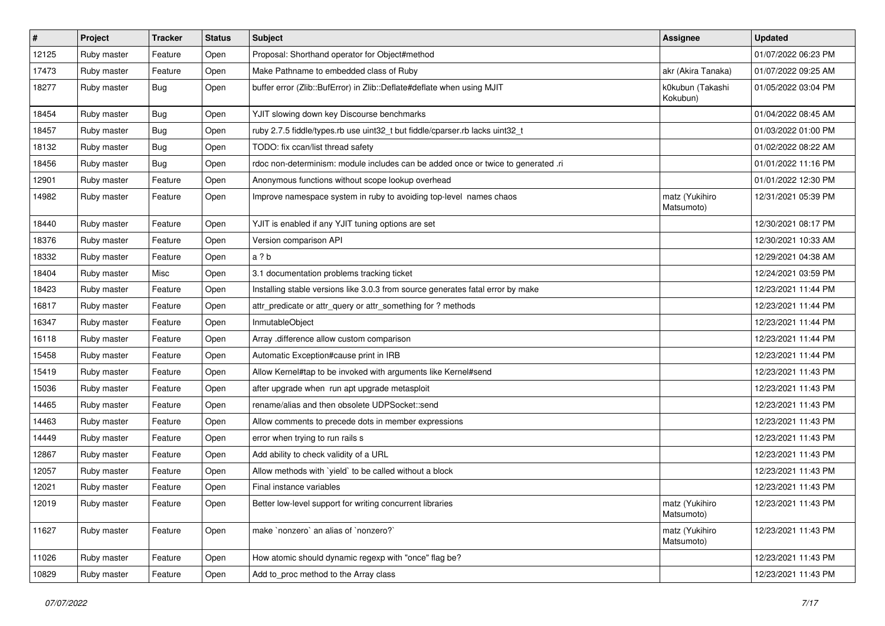| $\vert$ # | Project     | <b>Tracker</b> | <b>Status</b> | Subject                                                                           | <b>Assignee</b>              | <b>Updated</b>      |
|-----------|-------------|----------------|---------------|-----------------------------------------------------------------------------------|------------------------------|---------------------|
| 12125     | Ruby master | Feature        | Open          | Proposal: Shorthand operator for Object#method                                    |                              | 01/07/2022 06:23 PM |
| 17473     | Ruby master | Feature        | Open          | Make Pathname to embedded class of Ruby                                           | akr (Akira Tanaka)           | 01/07/2022 09:25 AM |
| 18277     | Ruby master | <b>Bug</b>     | Open          | buffer error (Zlib::BufError) in Zlib::Deflate#deflate when using MJIT            | k0kubun (Takashi<br>Kokubun) | 01/05/2022 03:04 PM |
| 18454     | Ruby master | <b>Bug</b>     | Open          | YJIT slowing down key Discourse benchmarks                                        |                              | 01/04/2022 08:45 AM |
| 18457     | Ruby master | <b>Bug</b>     | Open          | ruby 2.7.5 fiddle/types.rb use uint32_t but fiddle/cparser.rb lacks uint32_t      |                              | 01/03/2022 01:00 PM |
| 18132     | Ruby master | <b>Bug</b>     | Open          | TODO: fix ccan/list thread safety                                                 |                              | 01/02/2022 08:22 AM |
| 18456     | Ruby master | Bug            | Open          | rdoc non-determinism: module includes can be added once or twice to generated .ri |                              | 01/01/2022 11:16 PM |
| 12901     | Ruby master | Feature        | Open          | Anonymous functions without scope lookup overhead                                 |                              | 01/01/2022 12:30 PM |
| 14982     | Ruby master | Feature        | Open          | Improve namespace system in ruby to avoiding top-level names chaos                | matz (Yukihiro<br>Matsumoto) | 12/31/2021 05:39 PM |
| 18440     | Ruby master | Feature        | Open          | YJIT is enabled if any YJIT tuning options are set                                |                              | 12/30/2021 08:17 PM |
| 18376     | Ruby master | Feature        | Open          | Version comparison API                                                            |                              | 12/30/2021 10:33 AM |
| 18332     | Ruby master | Feature        | Open          | a ? b                                                                             |                              | 12/29/2021 04:38 AM |
| 18404     | Ruby master | Misc           | Open          | 3.1 documentation problems tracking ticket                                        |                              | 12/24/2021 03:59 PM |
| 18423     | Ruby master | Feature        | Open          | Installing stable versions like 3.0.3 from source generates fatal error by make   |                              | 12/23/2021 11:44 PM |
| 16817     | Ruby master | Feature        | Open          | attr_predicate or attr_query or attr_something for ? methods                      |                              | 12/23/2021 11:44 PM |
| 16347     | Ruby master | Feature        | Open          | InmutableObject                                                                   |                              | 12/23/2021 11:44 PM |
| 16118     | Ruby master | Feature        | Open          | Array .difference allow custom comparison                                         |                              | 12/23/2021 11:44 PM |
| 15458     | Ruby master | Feature        | Open          | Automatic Exception#cause print in IRB                                            |                              | 12/23/2021 11:44 PM |
| 15419     | Ruby master | Feature        | Open          | Allow Kernel#tap to be invoked with arguments like Kernel#send                    |                              | 12/23/2021 11:43 PM |
| 15036     | Ruby master | Feature        | Open          | after upgrade when run apt upgrade metasploit                                     |                              | 12/23/2021 11:43 PM |
| 14465     | Ruby master | Feature        | Open          | rename/alias and then obsolete UDPSocket::send                                    |                              | 12/23/2021 11:43 PM |
| 14463     | Ruby master | Feature        | Open          | Allow comments to precede dots in member expressions                              |                              | 12/23/2021 11:43 PM |
| 14449     | Ruby master | Feature        | Open          | error when trying to run rails s                                                  |                              | 12/23/2021 11:43 PM |
| 12867     | Ruby master | Feature        | Open          | Add ability to check validity of a URL                                            |                              | 12/23/2021 11:43 PM |
| 12057     | Ruby master | Feature        | Open          | Allow methods with 'yield' to be called without a block                           |                              | 12/23/2021 11:43 PM |
| 12021     | Ruby master | Feature        | Open          | Final instance variables                                                          |                              | 12/23/2021 11:43 PM |
| 12019     | Ruby master | Feature        | Open          | Better low-level support for writing concurrent libraries                         | matz (Yukihiro<br>Matsumoto) | 12/23/2021 11:43 PM |
| 11627     | Ruby master | Feature        | Open          | make `nonzero` an alias of `nonzero?`                                             | matz (Yukihiro<br>Matsumoto) | 12/23/2021 11:43 PM |
| 11026     | Ruby master | Feature        | Open          | How atomic should dynamic regexp with "once" flag be?                             |                              | 12/23/2021 11:43 PM |
| 10829     | Ruby master | Feature        | Open          | Add to_proc method to the Array class                                             |                              | 12/23/2021 11:43 PM |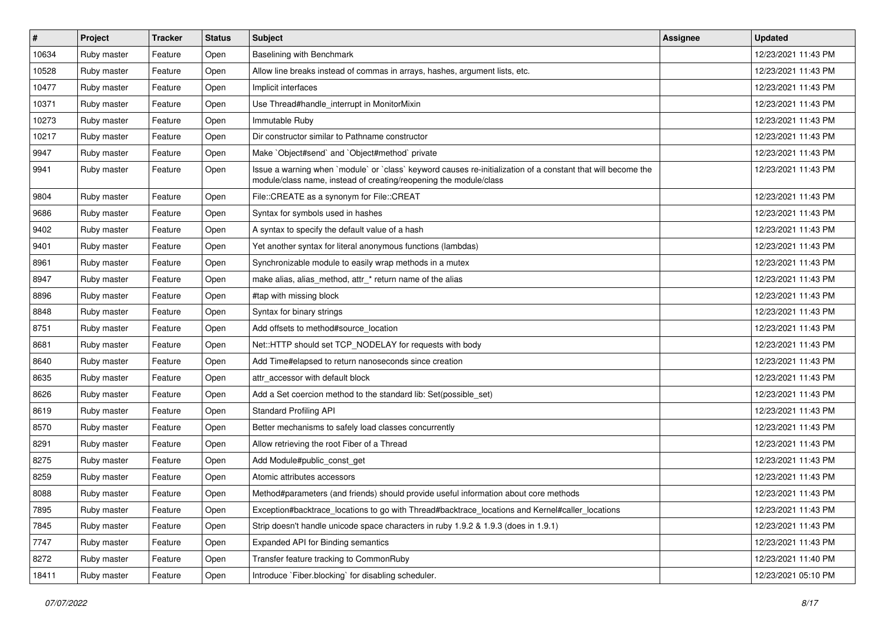| #     | Project     | <b>Tracker</b> | <b>Status</b> | <b>Subject</b>                                                                                                                                                                    | <b>Assignee</b> | <b>Updated</b>      |
|-------|-------------|----------------|---------------|-----------------------------------------------------------------------------------------------------------------------------------------------------------------------------------|-----------------|---------------------|
| 10634 | Ruby master | Feature        | Open          | <b>Baselining with Benchmark</b>                                                                                                                                                  |                 | 12/23/2021 11:43 PM |
| 10528 | Ruby master | Feature        | Open          | Allow line breaks instead of commas in arrays, hashes, argument lists, etc.                                                                                                       |                 | 12/23/2021 11:43 PM |
| 10477 | Ruby master | Feature        | Open          | Implicit interfaces                                                                                                                                                               |                 | 12/23/2021 11:43 PM |
| 10371 | Ruby master | Feature        | Open          | Use Thread#handle_interrupt in MonitorMixin                                                                                                                                       |                 | 12/23/2021 11:43 PM |
| 10273 | Ruby master | Feature        | Open          | Immutable Ruby                                                                                                                                                                    |                 | 12/23/2021 11:43 PM |
| 10217 | Ruby master | Feature        | Open          | Dir constructor similar to Pathname constructor                                                                                                                                   |                 | 12/23/2021 11:43 PM |
| 9947  | Ruby master | Feature        | Open          | Make `Object#send` and `Object#method` private                                                                                                                                    |                 | 12/23/2021 11:43 PM |
| 9941  | Ruby master | Feature        | Open          | Issue a warning when `module` or `class` keyword causes re-initialization of a constant that will become the<br>module/class name, instead of creating/reopening the module/class |                 | 12/23/2021 11:43 PM |
| 9804  | Ruby master | Feature        | Open          | File::CREATE as a synonym for File::CREAT                                                                                                                                         |                 | 12/23/2021 11:43 PM |
| 9686  | Ruby master | Feature        | Open          | Syntax for symbols used in hashes                                                                                                                                                 |                 | 12/23/2021 11:43 PM |
| 9402  | Ruby master | Feature        | Open          | A syntax to specify the default value of a hash                                                                                                                                   |                 | 12/23/2021 11:43 PM |
| 9401  | Ruby master | Feature        | Open          | Yet another syntax for literal anonymous functions (lambdas)                                                                                                                      |                 | 12/23/2021 11:43 PM |
| 8961  | Ruby master | Feature        | Open          | Synchronizable module to easily wrap methods in a mutex                                                                                                                           |                 | 12/23/2021 11:43 PM |
| 8947  | Ruby master | Feature        | Open          | make alias, alias_method, attr_* return name of the alias                                                                                                                         |                 | 12/23/2021 11:43 PM |
| 8896  | Ruby master | Feature        | Open          | #tap with missing block                                                                                                                                                           |                 | 12/23/2021 11:43 PM |
| 8848  | Ruby master | Feature        | Open          | Syntax for binary strings                                                                                                                                                         |                 | 12/23/2021 11:43 PM |
| 8751  | Ruby master | Feature        | Open          | Add offsets to method#source_location                                                                                                                                             |                 | 12/23/2021 11:43 PM |
| 8681  | Ruby master | Feature        | Open          | Net::HTTP should set TCP_NODELAY for requests with body                                                                                                                           |                 | 12/23/2021 11:43 PM |
| 8640  | Ruby master | Feature        | Open          | Add Time#elapsed to return nanoseconds since creation                                                                                                                             |                 | 12/23/2021 11:43 PM |
| 8635  | Ruby master | Feature        | Open          | attr accessor with default block                                                                                                                                                  |                 | 12/23/2021 11:43 PM |
| 8626  | Ruby master | Feature        | Open          | Add a Set coercion method to the standard lib: Set(possible_set)                                                                                                                  |                 | 12/23/2021 11:43 PM |
| 8619  | Ruby master | Feature        | Open          | <b>Standard Profiling API</b>                                                                                                                                                     |                 | 12/23/2021 11:43 PM |
| 8570  | Ruby master | Feature        | Open          | Better mechanisms to safely load classes concurrently                                                                                                                             |                 | 12/23/2021 11:43 PM |
| 8291  | Ruby master | Feature        | Open          | Allow retrieving the root Fiber of a Thread                                                                                                                                       |                 | 12/23/2021 11:43 PM |
| 8275  | Ruby master | Feature        | Open          | Add Module#public_const_get                                                                                                                                                       |                 | 12/23/2021 11:43 PM |
| 8259  | Ruby master | Feature        | Open          | Atomic attributes accessors                                                                                                                                                       |                 | 12/23/2021 11:43 PM |
| 8088  | Ruby master | Feature        | Open          | Method#parameters (and friends) should provide useful information about core methods                                                                                              |                 | 12/23/2021 11:43 PM |
| 7895  | Ruby master | Feature        | Open          | Exception#backtrace_locations to go with Thread#backtrace_locations and Kernel#caller_locations                                                                                   |                 | 12/23/2021 11:43 PM |
| 7845  | Ruby master | Feature        | Open          | Strip doesn't handle unicode space characters in ruby 1.9.2 & 1.9.3 (does in 1.9.1)                                                                                               |                 | 12/23/2021 11:43 PM |
| 7747  | Ruby master | Feature        | Open          | Expanded API for Binding semantics                                                                                                                                                |                 | 12/23/2021 11:43 PM |
| 8272  | Ruby master | Feature        | Open          | Transfer feature tracking to CommonRuby                                                                                                                                           |                 | 12/23/2021 11:40 PM |
| 18411 | Ruby master | Feature        | Open          | Introduce `Fiber.blocking` for disabling scheduler.                                                                                                                               |                 | 12/23/2021 05:10 PM |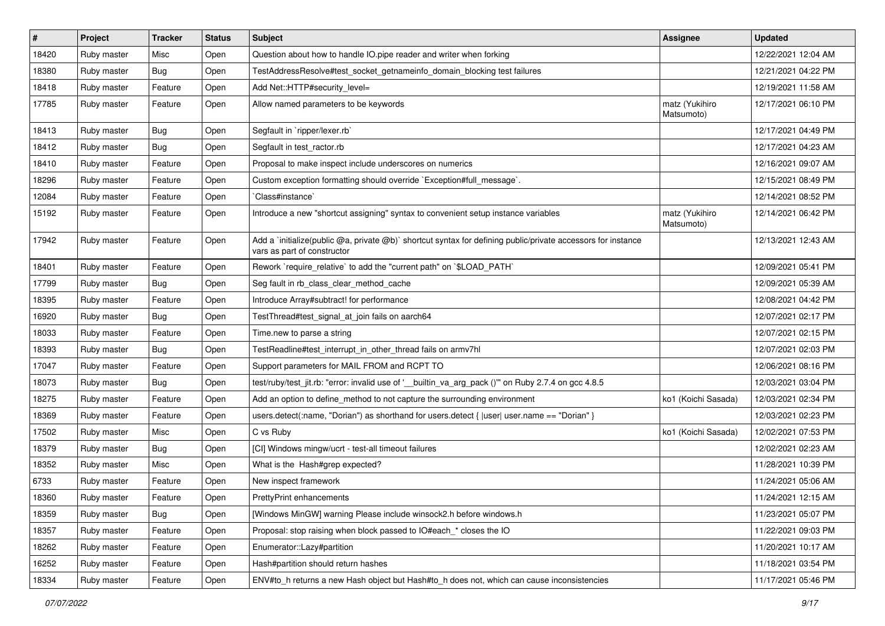| $\sharp$ | Project     | <b>Tracker</b> | <b>Status</b> | <b>Subject</b>                                                                                                                              | <b>Assignee</b>              | <b>Updated</b>      |
|----------|-------------|----------------|---------------|---------------------------------------------------------------------------------------------------------------------------------------------|------------------------------|---------------------|
| 18420    | Ruby master | Misc           | Open          | Question about how to handle IO.pipe reader and writer when forking                                                                         |                              | 12/22/2021 12:04 AM |
| 18380    | Ruby master | Bug            | Open          | TestAddressResolve#test_socket_getnameinfo_domain_blocking test failures                                                                    |                              | 12/21/2021 04:22 PM |
| 18418    | Ruby master | Feature        | Open          | Add Net::HTTP#security_level=                                                                                                               |                              | 12/19/2021 11:58 AM |
| 17785    | Ruby master | Feature        | Open          | Allow named parameters to be keywords                                                                                                       | matz (Yukihiro<br>Matsumoto) | 12/17/2021 06:10 PM |
| 18413    | Ruby master | Bug            | Open          | Segfault in `ripper/lexer.rb`                                                                                                               |                              | 12/17/2021 04:49 PM |
| 18412    | Ruby master | Bug            | Open          | Segfault in test_ractor.rb                                                                                                                  |                              | 12/17/2021 04:23 AM |
| 18410    | Ruby master | Feature        | Open          | Proposal to make inspect include underscores on numerics                                                                                    |                              | 12/16/2021 09:07 AM |
| 18296    | Ruby master | Feature        | Open          | Custom exception formatting should override `Exception#full_message`.                                                                       |                              | 12/15/2021 08:49 PM |
| 12084    | Ruby master | Feature        | Open          | Class#instance                                                                                                                              |                              | 12/14/2021 08:52 PM |
| 15192    | Ruby master | Feature        | Open          | Introduce a new "shortcut assigning" syntax to convenient setup instance variables                                                          | matz (Yukihiro<br>Matsumoto) | 12/14/2021 06:42 PM |
| 17942    | Ruby master | Feature        | Open          | Add a `initialize(public @a, private @b)` shortcut syntax for defining public/private accessors for instance<br>vars as part of constructor |                              | 12/13/2021 12:43 AM |
| 18401    | Ruby master | Feature        | Open          | Rework `require_relative` to add the "current path" on `\$LOAD_PATH`                                                                        |                              | 12/09/2021 05:41 PM |
| 17799    | Ruby master | Bug            | Open          | Seg fault in rb_class_clear_method_cache                                                                                                    |                              | 12/09/2021 05:39 AM |
| 18395    | Ruby master | Feature        | Open          | Introduce Array#subtract! for performance                                                                                                   |                              | 12/08/2021 04:42 PM |
| 16920    | Ruby master | Bug            | Open          | TestThread#test_signal_at_join fails on aarch64                                                                                             |                              | 12/07/2021 02:17 PM |
| 18033    | Ruby master | Feature        | Open          | Time.new to parse a string                                                                                                                  |                              | 12/07/2021 02:15 PM |
| 18393    | Ruby master | <b>Bug</b>     | Open          | TestReadline#test_interrupt_in_other_thread fails on armv7hl                                                                                |                              | 12/07/2021 02:03 PM |
| 17047    | Ruby master | Feature        | Open          | Support parameters for MAIL FROM and RCPT TO                                                                                                |                              | 12/06/2021 08:16 PM |
| 18073    | Ruby master | Bug            | Open          | test/ruby/test_jit.rb: "error: invalid use of '__builtin_va_arg_pack ()"" on Ruby 2.7.4 on gcc 4.8.5                                        |                              | 12/03/2021 03:04 PM |
| 18275    | Ruby master | Feature        | Open          | Add an option to define_method to not capture the surrounding environment                                                                   | ko1 (Koichi Sasada)          | 12/03/2021 02:34 PM |
| 18369    | Ruby master | Feature        | Open          | users.detect(:name, "Dorian") as shorthand for users.detect {  user  user.name == "Dorian" }                                                |                              | 12/03/2021 02:23 PM |
| 17502    | Ruby master | Misc           | Open          | C vs Ruby                                                                                                                                   | ko1 (Koichi Sasada)          | 12/02/2021 07:53 PM |
| 18379    | Ruby master | Bug            | Open          | [CI] Windows mingw/ucrt - test-all timeout failures                                                                                         |                              | 12/02/2021 02:23 AM |
| 18352    | Ruby master | Misc           | Open          | What is the Hash#grep expected?                                                                                                             |                              | 11/28/2021 10:39 PM |
| 6733     | Ruby master | Feature        | Open          | New inspect framework                                                                                                                       |                              | 11/24/2021 05:06 AM |
| 18360    | Ruby master | Feature        | Open          | PrettyPrint enhancements                                                                                                                    |                              | 11/24/2021 12:15 AM |
| 18359    | Ruby master | Bug            | Open          | [Windows MinGW] warning Please include winsock2.h before windows.h                                                                          |                              | 11/23/2021 05:07 PM |
| 18357    | Ruby master | Feature        | Open          | Proposal: stop raising when block passed to IO#each_* closes the IO                                                                         |                              | 11/22/2021 09:03 PM |
| 18262    | Ruby master | Feature        | Open          | Enumerator::Lazy#partition                                                                                                                  |                              | 11/20/2021 10:17 AM |
| 16252    | Ruby master | Feature        | Open          | Hash#partition should return hashes                                                                                                         |                              | 11/18/2021 03:54 PM |
| 18334    | Ruby master | Feature        | Open          | ENV#to_h returns a new Hash object but Hash#to_h does not, which can cause inconsistencies                                                  |                              | 11/17/2021 05:46 PM |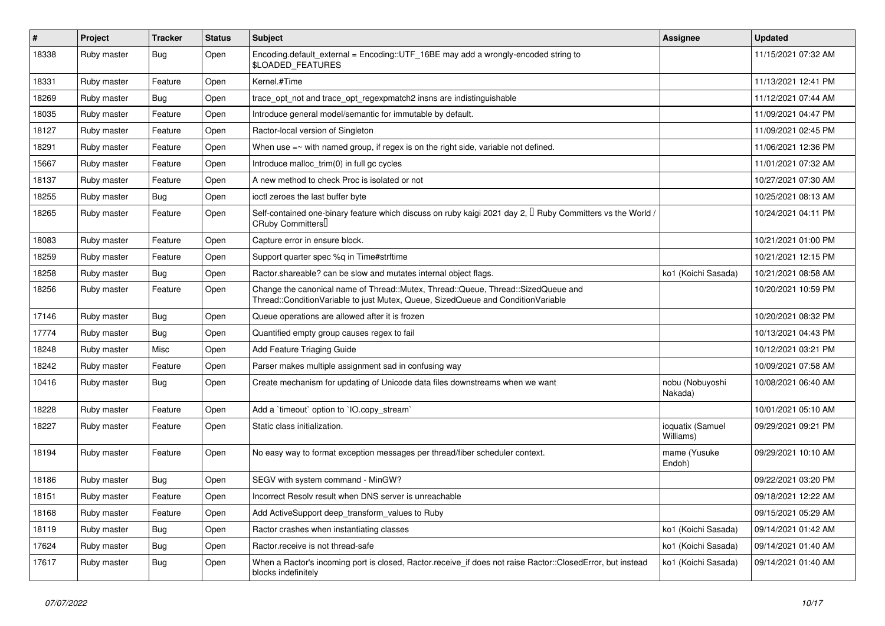| #     | Project     | <b>Tracker</b> | <b>Status</b> | Subject                                                                                                                                                               | <b>Assignee</b>               | <b>Updated</b>      |
|-------|-------------|----------------|---------------|-----------------------------------------------------------------------------------------------------------------------------------------------------------------------|-------------------------------|---------------------|
| 18338 | Ruby master | <b>Bug</b>     | Open          | Encoding.default_external = Encoding::UTF_16BE may add a wrongly-encoded string to<br><b>\$LOADED FEATURES</b>                                                        |                               | 11/15/2021 07:32 AM |
| 18331 | Ruby master | Feature        | Open          | Kernel.#Time                                                                                                                                                          |                               | 11/13/2021 12:41 PM |
| 18269 | Ruby master | Bug            | Open          | trace_opt_not and trace_opt_regexpmatch2 insns are indistinguishable                                                                                                  |                               | 11/12/2021 07:44 AM |
| 18035 | Ruby master | Feature        | Open          | Introduce general model/semantic for immutable by default.                                                                                                            |                               | 11/09/2021 04:47 PM |
| 18127 | Ruby master | Feature        | Open          | Ractor-local version of Singleton                                                                                                                                     |                               | 11/09/2021 02:45 PM |
| 18291 | Ruby master | Feature        | Open          | When use =~ with named group, if regex is on the right side, variable not defined.                                                                                    |                               | 11/06/2021 12:36 PM |
| 15667 | Ruby master | Feature        | Open          | Introduce malloc_trim(0) in full gc cycles                                                                                                                            |                               | 11/01/2021 07:32 AM |
| 18137 | Ruby master | Feature        | Open          | A new method to check Proc is isolated or not                                                                                                                         |                               | 10/27/2021 07:30 AM |
| 18255 | Ruby master | Bug            | Open          | ioctl zeroes the last buffer byte                                                                                                                                     |                               | 10/25/2021 08:13 AM |
| 18265 | Ruby master | Feature        | Open          | Self-contained one-binary feature which discuss on ruby kaigi 2021 day 2, $\Box$ Ruby Committers vs the World /<br>CRuby Committers <sup>[]</sup>                     |                               | 10/24/2021 04:11 PM |
| 18083 | Ruby master | Feature        | Open          | Capture error in ensure block.                                                                                                                                        |                               | 10/21/2021 01:00 PM |
| 18259 | Ruby master | Feature        | Open          | Support quarter spec %q in Time#strftime                                                                                                                              |                               | 10/21/2021 12:15 PM |
| 18258 | Ruby master | Bug            | Open          | Ractor shareable? can be slow and mutates internal object flags.                                                                                                      | ko1 (Koichi Sasada)           | 10/21/2021 08:58 AM |
| 18256 | Ruby master | Feature        | Open          | Change the canonical name of Thread::Mutex, Thread::Queue, Thread::SizedQueue and<br>Thread::ConditionVariable to just Mutex, Queue, SizedQueue and ConditionVariable |                               | 10/20/2021 10:59 PM |
| 17146 | Ruby master | Bug            | Open          | Queue operations are allowed after it is frozen                                                                                                                       |                               | 10/20/2021 08:32 PM |
| 17774 | Ruby master | Bug            | Open          | Quantified empty group causes regex to fail                                                                                                                           |                               | 10/13/2021 04:43 PM |
| 18248 | Ruby master | Misc           | Open          | <b>Add Feature Triaging Guide</b>                                                                                                                                     |                               | 10/12/2021 03:21 PM |
| 18242 | Ruby master | Feature        | Open          | Parser makes multiple assignment sad in confusing way                                                                                                                 |                               | 10/09/2021 07:58 AM |
| 10416 | Ruby master | <b>Bug</b>     | Open          | Create mechanism for updating of Unicode data files downstreams when we want                                                                                          | nobu (Nobuyoshi<br>Nakada)    | 10/08/2021 06:40 AM |
| 18228 | Ruby master | Feature        | Open          | Add a 'timeout' option to 'IO.copy_stream'                                                                                                                            |                               | 10/01/2021 05:10 AM |
| 18227 | Ruby master | Feature        | Open          | Static class initialization.                                                                                                                                          | ioquatix (Samuel<br>Williams) | 09/29/2021 09:21 PM |
| 18194 | Ruby master | Feature        | Open          | No easy way to format exception messages per thread/fiber scheduler context.                                                                                          | mame (Yusuke<br>Endoh)        | 09/29/2021 10:10 AM |
| 18186 | Ruby master | Bug            | Open          | SEGV with system command - MinGW?                                                                                                                                     |                               | 09/22/2021 03:20 PM |
| 18151 | Ruby master | Feature        | Open          | Incorrect Resolv result when DNS server is unreachable                                                                                                                |                               | 09/18/2021 12:22 AM |
| 18168 | Ruby master | Feature        | Open          | Add ActiveSupport deep_transform_values to Ruby                                                                                                                       |                               | 09/15/2021 05:29 AM |
| 18119 | Ruby master | <b>Bug</b>     | Open          | Ractor crashes when instantiating classes                                                                                                                             | ko1 (Koichi Sasada)           | 09/14/2021 01:42 AM |
| 17624 | Ruby master | <b>Bug</b>     | Open          | Ractor.receive is not thread-safe                                                                                                                                     | ko1 (Koichi Sasada)           | 09/14/2021 01:40 AM |
| 17617 | Ruby master | Bug            | Open          | When a Ractor's incoming port is closed, Ractor.receive_if does not raise Ractor::ClosedError, but instead<br>blocks indefinitely                                     | ko1 (Koichi Sasada)           | 09/14/2021 01:40 AM |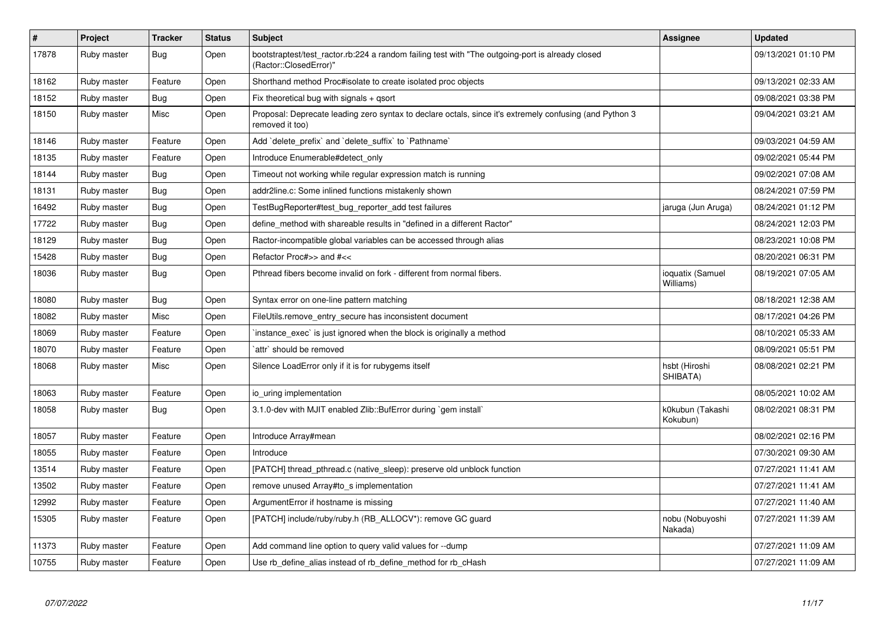| $\#$  | Project     | <b>Tracker</b> | <b>Status</b> | <b>Subject</b>                                                                                                             | <b>Assignee</b>               | <b>Updated</b>      |
|-------|-------------|----------------|---------------|----------------------------------------------------------------------------------------------------------------------------|-------------------------------|---------------------|
| 17878 | Ruby master | Bug            | Open          | bootstraptest/test_ractor.rb:224 a random failing test with "The outgoing-port is already closed<br>(Ractor::ClosedError)" |                               | 09/13/2021 01:10 PM |
| 18162 | Ruby master | Feature        | Open          | Shorthand method Proc#isolate to create isolated proc objects                                                              |                               | 09/13/2021 02:33 AM |
| 18152 | Ruby master | Bug            | Open          | Fix theoretical bug with signals + gsort                                                                                   |                               | 09/08/2021 03:38 PM |
| 18150 | Ruby master | Misc           | Open          | Proposal: Deprecate leading zero syntax to declare octals, since it's extremely confusing (and Python 3<br>removed it too) |                               | 09/04/2021 03:21 AM |
| 18146 | Ruby master | Feature        | Open          | Add 'delete_prefix' and 'delete_suffix' to 'Pathname'                                                                      |                               | 09/03/2021 04:59 AM |
| 18135 | Ruby master | Feature        | Open          | Introduce Enumerable#detect only                                                                                           |                               | 09/02/2021 05:44 PM |
| 18144 | Ruby master | Bug            | Open          | Timeout not working while regular expression match is running                                                              |                               | 09/02/2021 07:08 AM |
| 18131 | Ruby master | Bug            | Open          | addr2line.c: Some inlined functions mistakenly shown                                                                       |                               | 08/24/2021 07:59 PM |
| 16492 | Ruby master | <b>Bug</b>     | Open          | TestBugReporter#test_bug_reporter_add test failures                                                                        | jaruga (Jun Aruga)            | 08/24/2021 01:12 PM |
| 17722 | Ruby master | Bug            | Open          | define method with shareable results in "defined in a different Ractor"                                                    |                               | 08/24/2021 12:03 PM |
| 18129 | Ruby master | Bug            | Open          | Ractor-incompatible global variables can be accessed through alias                                                         |                               | 08/23/2021 10:08 PM |
| 15428 | Ruby master | Bug            | Open          | Refactor Proc#>> and #<<                                                                                                   |                               | 08/20/2021 06:31 PM |
| 18036 | Ruby master | <b>Bug</b>     | Open          | Pthread fibers become invalid on fork - different from normal fibers.                                                      | ioquatix (Samuel<br>Williams) | 08/19/2021 07:05 AM |
| 18080 | Ruby master | Bug            | Open          | Syntax error on one-line pattern matching                                                                                  |                               | 08/18/2021 12:38 AM |
| 18082 | Ruby master | Misc           | Open          | FileUtils.remove entry secure has inconsistent document                                                                    |                               | 08/17/2021 04:26 PM |
| 18069 | Ruby master | Feature        | Open          | instance_exec` is just ignored when the block is originally a method                                                       |                               | 08/10/2021 05:33 AM |
| 18070 | Ruby master | Feature        | Open          | `attr` should be removed                                                                                                   |                               | 08/09/2021 05:51 PM |
| 18068 | Ruby master | Misc           | Open          | Silence LoadError only if it is for rubygems itself                                                                        | hsbt (Hiroshi<br>SHIBATA)     | 08/08/2021 02:21 PM |
| 18063 | Ruby master | Feature        | Open          | io uring implementation                                                                                                    |                               | 08/05/2021 10:02 AM |
| 18058 | Ruby master | <b>Bug</b>     | Open          | 3.1.0-dev with MJIT enabled Zlib::BufError during `gem install`                                                            | k0kubun (Takashi<br>Kokubun)  | 08/02/2021 08:31 PM |
| 18057 | Ruby master | Feature        | Open          | Introduce Array#mean                                                                                                       |                               | 08/02/2021 02:16 PM |
| 18055 | Ruby master | Feature        | Open          | Introduce                                                                                                                  |                               | 07/30/2021 09:30 AM |
| 13514 | Ruby master | Feature        | Open          | [PATCH] thread pthread.c (native sleep): preserve old unblock function                                                     |                               | 07/27/2021 11:41 AM |
| 13502 | Ruby master | Feature        | Open          | remove unused Array#to_s implementation                                                                                    |                               | 07/27/2021 11:41 AM |
| 12992 | Ruby master | Feature        | Open          | ArgumentError if hostname is missing                                                                                       |                               | 07/27/2021 11:40 AM |
| 15305 | Ruby master | Feature        | Open          | [PATCH] include/ruby/ruby.h (RB_ALLOCV*): remove GC guard                                                                  | nobu (Nobuyoshi<br>Nakada)    | 07/27/2021 11:39 AM |
| 11373 | Ruby master | Feature        | Open          | Add command line option to query valid values for --dump                                                                   |                               | 07/27/2021 11:09 AM |
| 10755 | Ruby master | Feature        | Open          | Use rb_define_alias instead of rb_define_method for rb_cHash                                                               |                               | 07/27/2021 11:09 AM |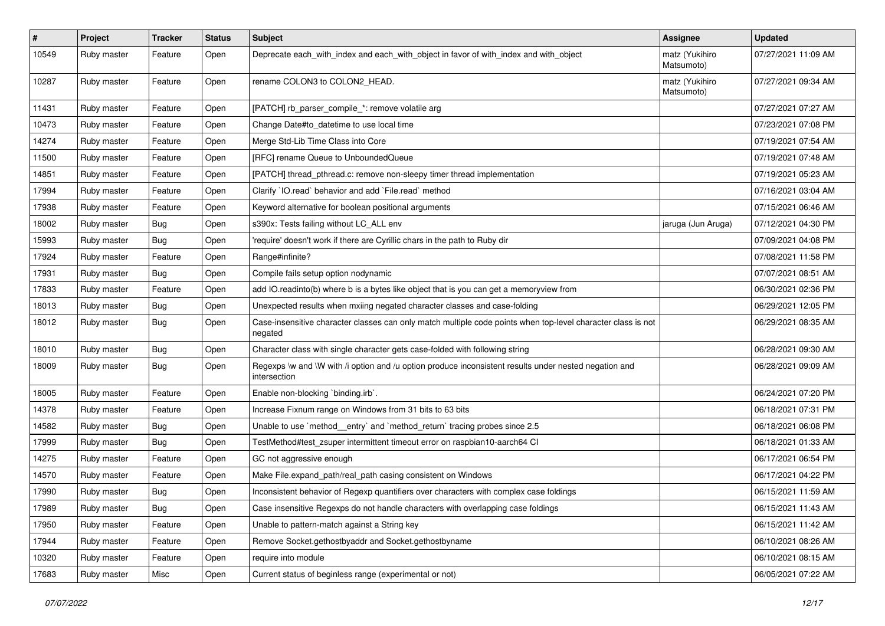| #     | Project     | <b>Tracker</b> | <b>Status</b> | <b>Subject</b>                                                                                                          | <b>Assignee</b>              | <b>Updated</b>      |
|-------|-------------|----------------|---------------|-------------------------------------------------------------------------------------------------------------------------|------------------------------|---------------------|
| 10549 | Ruby master | Feature        | Open          | Deprecate each_with_index and each_with_object in favor of with_index and with_object                                   | matz (Yukihiro<br>Matsumoto) | 07/27/2021 11:09 AM |
| 10287 | Ruby master | Feature        | Open          | rename COLON3 to COLON2_HEAD.                                                                                           | matz (Yukihiro<br>Matsumoto) | 07/27/2021 09:34 AM |
| 11431 | Ruby master | Feature        | Open          | [PATCH] rb_parser_compile_*: remove volatile arg                                                                        |                              | 07/27/2021 07:27 AM |
| 10473 | Ruby master | Feature        | Open          | Change Date#to_datetime to use local time                                                                               |                              | 07/23/2021 07:08 PM |
| 14274 | Ruby master | Feature        | Open          | Merge Std-Lib Time Class into Core                                                                                      |                              | 07/19/2021 07:54 AM |
| 11500 | Ruby master | Feature        | Open          | [RFC] rename Queue to UnboundedQueue                                                                                    |                              | 07/19/2021 07:48 AM |
| 14851 | Ruby master | Feature        | Open          | [PATCH] thread_pthread.c: remove non-sleepy timer thread implementation                                                 |                              | 07/19/2021 05:23 AM |
| 17994 | Ruby master | Feature        | Open          | Clarify `IO.read` behavior and add `File.read` method                                                                   |                              | 07/16/2021 03:04 AM |
| 17938 | Ruby master | Feature        | Open          | Keyword alternative for boolean positional arguments                                                                    |                              | 07/15/2021 06:46 AM |
| 18002 | Ruby master | <b>Bug</b>     | Open          | s390x: Tests failing without LC_ALL env                                                                                 | jaruga (Jun Aruga)           | 07/12/2021 04:30 PM |
| 15993 | Ruby master | Bug            | Open          | 'require' doesn't work if there are Cyrillic chars in the path to Ruby dir                                              |                              | 07/09/2021 04:08 PM |
| 17924 | Ruby master | Feature        | Open          | Range#infinite?                                                                                                         |                              | 07/08/2021 11:58 PM |
| 17931 | Ruby master | Bug            | Open          | Compile fails setup option nodynamic                                                                                    |                              | 07/07/2021 08:51 AM |
| 17833 | Ruby master | Feature        | Open          | add IO.readinto(b) where b is a bytes like object that is you can get a memoryview from                                 |                              | 06/30/2021 02:36 PM |
| 18013 | Ruby master | <b>Bug</b>     | Open          | Unexpected results when mxiing negated character classes and case-folding                                               |                              | 06/29/2021 12:05 PM |
| 18012 | Ruby master | <b>Bug</b>     | Open          | Case-insensitive character classes can only match multiple code points when top-level character class is not<br>negated |                              | 06/29/2021 08:35 AM |
| 18010 | Ruby master | <b>Bug</b>     | Open          | Character class with single character gets case-folded with following string                                            |                              | 06/28/2021 09:30 AM |
| 18009 | Ruby master | Bug            | Open          | Regexps \w and \W with /i option and /u option produce inconsistent results under nested negation and<br>intersection   |                              | 06/28/2021 09:09 AM |
| 18005 | Ruby master | Feature        | Open          | Enable non-blocking 'binding.irb'.                                                                                      |                              | 06/24/2021 07:20 PM |
| 14378 | Ruby master | Feature        | Open          | Increase Fixnum range on Windows from 31 bits to 63 bits                                                                |                              | 06/18/2021 07:31 PM |
| 14582 | Ruby master | <b>Bug</b>     | Open          | Unable to use `method_entry` and `method_return` tracing probes since 2.5                                               |                              | 06/18/2021 06:08 PM |
| 17999 | Ruby master | Bug            | Open          | TestMethod#test_zsuper intermittent timeout error on raspbian10-aarch64 Cl                                              |                              | 06/18/2021 01:33 AM |
| 14275 | Ruby master | Feature        | Open          | GC not aggressive enough                                                                                                |                              | 06/17/2021 06:54 PM |
| 14570 | Ruby master | Feature        | Open          | Make File.expand_path/real_path casing consistent on Windows                                                            |                              | 06/17/2021 04:22 PM |
| 17990 | Ruby master | Bug            | Open          | Inconsistent behavior of Regexp quantifiers over characters with complex case foldings                                  |                              | 06/15/2021 11:59 AM |
| 17989 | Ruby master | Bug            | Open          | Case insensitive Regexps do not handle characters with overlapping case foldings                                        |                              | 06/15/2021 11:43 AM |
| 17950 | Ruby master | Feature        | Open          | Unable to pattern-match against a String key                                                                            |                              | 06/15/2021 11:42 AM |
| 17944 | Ruby master | Feature        | Open          | Remove Socket.gethostbyaddr and Socket.gethostbyname                                                                    |                              | 06/10/2021 08:26 AM |
| 10320 | Ruby master | Feature        | Open          | require into module                                                                                                     |                              | 06/10/2021 08:15 AM |
| 17683 | Ruby master | Misc           | Open          | Current status of beginless range (experimental or not)                                                                 |                              | 06/05/2021 07:22 AM |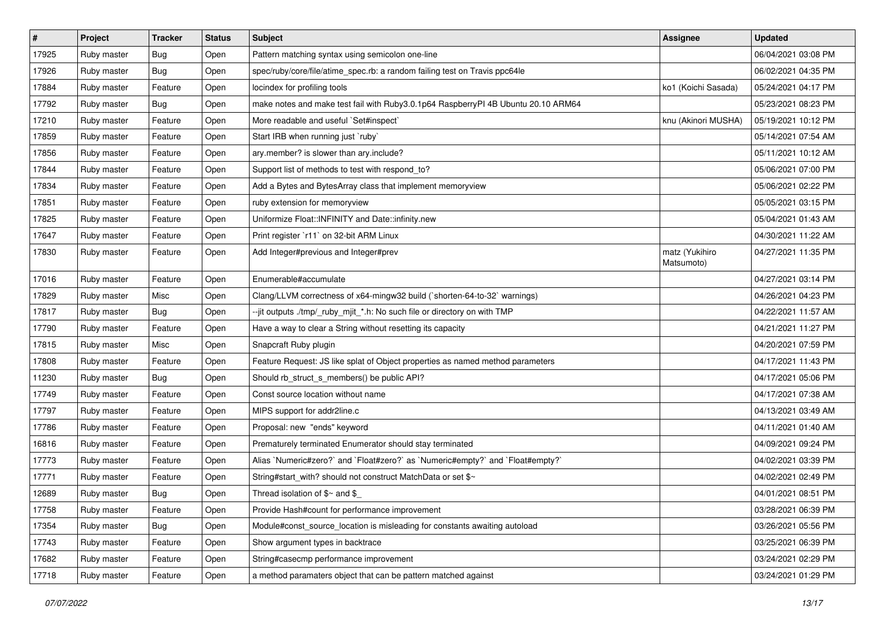| $\vert$ # | Project     | <b>Tracker</b> | <b>Status</b> | Subject                                                                           | <b>Assignee</b>              | <b>Updated</b>      |
|-----------|-------------|----------------|---------------|-----------------------------------------------------------------------------------|------------------------------|---------------------|
| 17925     | Ruby master | Bug            | Open          | Pattern matching syntax using semicolon one-line                                  |                              | 06/04/2021 03:08 PM |
| 17926     | Ruby master | Bug            | Open          | spec/ruby/core/file/atime_spec.rb: a random failing test on Travis ppc64le        |                              | 06/02/2021 04:35 PM |
| 17884     | Ruby master | Feature        | Open          | locindex for profiling tools                                                      | ko1 (Koichi Sasada)          | 05/24/2021 04:17 PM |
| 17792     | Ruby master | Bug            | Open          | make notes and make test fail with Ruby3.0.1p64 RaspberryPI 4B Ubuntu 20.10 ARM64 |                              | 05/23/2021 08:23 PM |
| 17210     | Ruby master | Feature        | Open          | More readable and useful `Set#inspect`                                            | knu (Akinori MUSHA)          | 05/19/2021 10:12 PM |
| 17859     | Ruby master | Feature        | Open          | Start IRB when running just `ruby`                                                |                              | 05/14/2021 07:54 AM |
| 17856     | Ruby master | Feature        | Open          | ary.member? is slower than ary.include?                                           |                              | 05/11/2021 10:12 AM |
| 17844     | Ruby master | Feature        | Open          | Support list of methods to test with respond_to?                                  |                              | 05/06/2021 07:00 PM |
| 17834     | Ruby master | Feature        | Open          | Add a Bytes and BytesArray class that implement memoryview                        |                              | 05/06/2021 02:22 PM |
| 17851     | Ruby master | Feature        | Open          | ruby extension for memoryview                                                     |                              | 05/05/2021 03:15 PM |
| 17825     | Ruby master | Feature        | Open          | Uniformize Float:: INFINITY and Date:: infinity.new                               |                              | 05/04/2021 01:43 AM |
| 17647     | Ruby master | Feature        | Open          | Print register `r11` on 32-bit ARM Linux                                          |                              | 04/30/2021 11:22 AM |
| 17830     | Ruby master | Feature        | Open          | Add Integer#previous and Integer#prev                                             | matz (Yukihiro<br>Matsumoto) | 04/27/2021 11:35 PM |
| 17016     | Ruby master | Feature        | Open          | Enumerable#accumulate                                                             |                              | 04/27/2021 03:14 PM |
| 17829     | Ruby master | Misc           | Open          | Clang/LLVM correctness of x64-mingw32 build (`shorten-64-to-32` warnings)         |                              | 04/26/2021 04:23 PM |
| 17817     | Ruby master | Bug            | Open          | --jit outputs ./tmp/_ruby_mjit_*.h: No such file or directory on with TMP         |                              | 04/22/2021 11:57 AM |
| 17790     | Ruby master | Feature        | Open          | Have a way to clear a String without resetting its capacity                       |                              | 04/21/2021 11:27 PM |
| 17815     | Ruby master | Misc           | Open          | Snapcraft Ruby plugin                                                             |                              | 04/20/2021 07:59 PM |
| 17808     | Ruby master | Feature        | Open          | Feature Request: JS like splat of Object properties as named method parameters    |                              | 04/17/2021 11:43 PM |
| 11230     | Ruby master | Bug            | Open          | Should rb_struct_s_members() be public API?                                       |                              | 04/17/2021 05:06 PM |
| 17749     | Ruby master | Feature        | Open          | Const source location without name                                                |                              | 04/17/2021 07:38 AM |
| 17797     | Ruby master | Feature        | Open          | MIPS support for addr2line.c                                                      |                              | 04/13/2021 03:49 AM |
| 17786     | Ruby master | Feature        | Open          | Proposal: new "ends" keyword                                                      |                              | 04/11/2021 01:40 AM |
| 16816     | Ruby master | Feature        | Open          | Prematurely terminated Enumerator should stay terminated                          |                              | 04/09/2021 09:24 PM |
| 17773     | Ruby master | Feature        | Open          | Alias `Numeric#zero?` and `Float#zero?` as `Numeric#empty?` and `Float#empty?`    |                              | 04/02/2021 03:39 PM |
| 17771     | Ruby master | Feature        | Open          | String#start_with? should not construct MatchData or set \$~                      |                              | 04/02/2021 02:49 PM |
| 12689     | Ruby master | Bug            | Open          | Thread isolation of $\gamma$ and \$                                               |                              | 04/01/2021 08:51 PM |
| 17758     | Ruby master | Feature        | Open          | Provide Hash#count for performance improvement                                    |                              | 03/28/2021 06:39 PM |
| 17354     | Ruby master | <b>Bug</b>     | Open          | Module#const_source_location is misleading for constants awaiting autoload        |                              | 03/26/2021 05:56 PM |
| 17743     | Ruby master | Feature        | Open          | Show argument types in backtrace                                                  |                              | 03/25/2021 06:39 PM |
| 17682     | Ruby master | Feature        | Open          | String#casecmp performance improvement                                            |                              | 03/24/2021 02:29 PM |
| 17718     | Ruby master | Feature        | Open          | a method paramaters object that can be pattern matched against                    |                              | 03/24/2021 01:29 PM |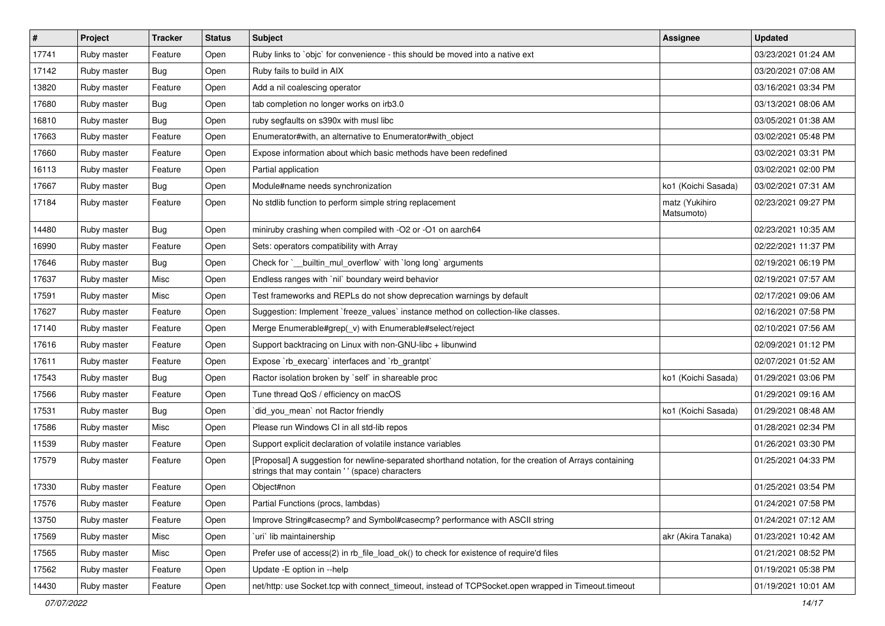| $\vert$ # | Project     | <b>Tracker</b> | <b>Status</b> | <b>Subject</b>                                                                                                                                            | <b>Assignee</b>              | <b>Updated</b>      |
|-----------|-------------|----------------|---------------|-----------------------------------------------------------------------------------------------------------------------------------------------------------|------------------------------|---------------------|
| 17741     | Ruby master | Feature        | Open          | Ruby links to `objc` for convenience - this should be moved into a native ext                                                                             |                              | 03/23/2021 01:24 AM |
| 17142     | Ruby master | Bug            | Open          | Ruby fails to build in AIX                                                                                                                                |                              | 03/20/2021 07:08 AM |
| 13820     | Ruby master | Feature        | Open          | Add a nil coalescing operator                                                                                                                             |                              | 03/16/2021 03:34 PM |
| 17680     | Ruby master | Bug            | Open          | tab completion no longer works on irb3.0                                                                                                                  |                              | 03/13/2021 08:06 AM |
| 16810     | Ruby master | Bug            | Open          | ruby segfaults on s390x with musl libc                                                                                                                    |                              | 03/05/2021 01:38 AM |
| 17663     | Ruby master | Feature        | Open          | Enumerator#with, an alternative to Enumerator#with_object                                                                                                 |                              | 03/02/2021 05:48 PM |
| 17660     | Ruby master | Feature        | Open          | Expose information about which basic methods have been redefined                                                                                          |                              | 03/02/2021 03:31 PM |
| 16113     | Ruby master | Feature        | Open          | Partial application                                                                                                                                       |                              | 03/02/2021 02:00 PM |
| 17667     | Ruby master | Bug            | Open          | Module#name needs synchronization                                                                                                                         | ko1 (Koichi Sasada)          | 03/02/2021 07:31 AM |
| 17184     | Ruby master | Feature        | Open          | No stdlib function to perform simple string replacement                                                                                                   | matz (Yukihiro<br>Matsumoto) | 02/23/2021 09:27 PM |
| 14480     | Ruby master | Bug            | Open          | miniruby crashing when compiled with -O2 or -O1 on aarch64                                                                                                |                              | 02/23/2021 10:35 AM |
| 16990     | Ruby master | Feature        | Open          | Sets: operators compatibility with Array                                                                                                                  |                              | 02/22/2021 11:37 PM |
| 17646     | Ruby master | Bug            | Open          | Check for `__builtin_mul_overflow` with `long long` arguments                                                                                             |                              | 02/19/2021 06:19 PM |
| 17637     | Ruby master | Misc           | Open          | Endless ranges with 'nil' boundary weird behavior                                                                                                         |                              | 02/19/2021 07:57 AM |
| 17591     | Ruby master | Misc           | Open          | Test frameworks and REPLs do not show deprecation warnings by default                                                                                     |                              | 02/17/2021 09:06 AM |
| 17627     | Ruby master | Feature        | Open          | Suggestion: Implement `freeze_values` instance method on collection-like classes.                                                                         |                              | 02/16/2021 07:58 PM |
| 17140     | Ruby master | Feature        | Open          | Merge Enumerable#grep(_v) with Enumerable#select/reject                                                                                                   |                              | 02/10/2021 07:56 AM |
| 17616     | Ruby master | Feature        | Open          | Support backtracing on Linux with non-GNU-libc + libunwind                                                                                                |                              | 02/09/2021 01:12 PM |
| 17611     | Ruby master | Feature        | Open          | Expose `rb_execarg` interfaces and `rb_grantpt`                                                                                                           |                              | 02/07/2021 01:52 AM |
| 17543     | Ruby master | <b>Bug</b>     | Open          | Ractor isolation broken by `self` in shareable proc                                                                                                       | ko1 (Koichi Sasada)          | 01/29/2021 03:06 PM |
| 17566     | Ruby master | Feature        | Open          | Tune thread QoS / efficiency on macOS                                                                                                                     |                              | 01/29/2021 09:16 AM |
| 17531     | Ruby master | Bug            | Open          | did_you_mean' not Ractor friendly                                                                                                                         | ko1 (Koichi Sasada)          | 01/29/2021 08:48 AM |
| 17586     | Ruby master | Misc           | Open          | Please run Windows CI in all std-lib repos                                                                                                                |                              | 01/28/2021 02:34 PM |
| 11539     | Ruby master | Feature        | Open          | Support explicit declaration of volatile instance variables                                                                                               |                              | 01/26/2021 03:30 PM |
| 17579     | Ruby master | Feature        | Open          | [Proposal] A suggestion for newline-separated shorthand notation, for the creation of Arrays containing<br>strings that may contain '' (space) characters |                              | 01/25/2021 04:33 PM |
| 17330     | Ruby master | Feature        | Open          | Object#non                                                                                                                                                |                              | 01/25/2021 03:54 PM |
| 17576     | Ruby master | Feature        | Open          | Partial Functions (procs, lambdas)                                                                                                                        |                              | 01/24/2021 07:58 PM |
| 13750     | Ruby master | Feature        | Open          | Improve String#casecmp? and Symbol#casecmp? performance with ASCII string                                                                                 |                              | 01/24/2021 07:12 AM |
| 17569     | Ruby master | Misc           | Open          | uri lib maintainership                                                                                                                                    | akr (Akira Tanaka)           | 01/23/2021 10:42 AM |
| 17565     | Ruby master | Misc           | Open          | Prefer use of access(2) in rb_file_load_ok() to check for existence of require'd files                                                                    |                              | 01/21/2021 08:52 PM |
| 17562     | Ruby master | Feature        | Open          | Update - E option in -- help                                                                                                                              |                              | 01/19/2021 05:38 PM |
| 14430     | Ruby master | Feature        | Open          | net/http: use Socket.tcp with connect_timeout, instead of TCPSocket.open wrapped in Timeout.timeout                                                       |                              | 01/19/2021 10:01 AM |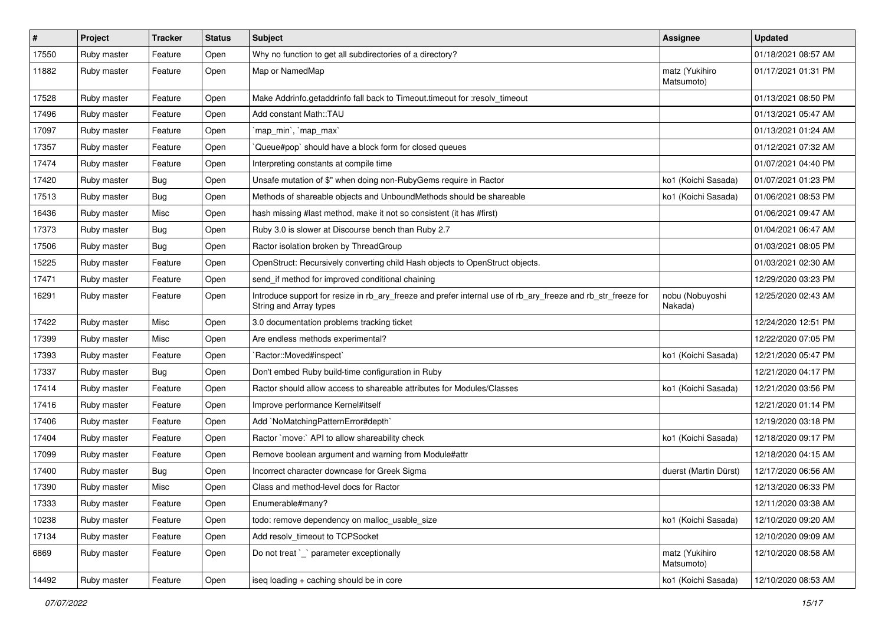| $\vert$ # | Project     | <b>Tracker</b> | <b>Status</b> | Subject                                                                                                                                | Assignee                     | <b>Updated</b>      |
|-----------|-------------|----------------|---------------|----------------------------------------------------------------------------------------------------------------------------------------|------------------------------|---------------------|
| 17550     | Ruby master | Feature        | Open          | Why no function to get all subdirectories of a directory?                                                                              |                              | 01/18/2021 08:57 AM |
| 11882     | Ruby master | Feature        | Open          | Map or NamedMap                                                                                                                        | matz (Yukihiro<br>Matsumoto) | 01/17/2021 01:31 PM |
| 17528     | Ruby master | Feature        | Open          | Make Addrinfo.getaddrinfo fall back to Timeout.timeout for :resolv_timeout                                                             |                              | 01/13/2021 08:50 PM |
| 17496     | Ruby master | Feature        | Open          | Add constant Math::TAU                                                                                                                 |                              | 01/13/2021 05:47 AM |
| 17097     | Ruby master | Feature        | Open          | `map_min`, `map_max`                                                                                                                   |                              | 01/13/2021 01:24 AM |
| 17357     | Ruby master | Feature        | Open          | Queue#pop` should have a block form for closed queues                                                                                  |                              | 01/12/2021 07:32 AM |
| 17474     | Ruby master | Feature        | Open          | Interpreting constants at compile time                                                                                                 |                              | 01/07/2021 04:40 PM |
| 17420     | Ruby master | Bug            | Open          | Unsafe mutation of \$" when doing non-RubyGems require in Ractor                                                                       | ko1 (Koichi Sasada)          | 01/07/2021 01:23 PM |
| 17513     | Ruby master | Bug            | Open          | Methods of shareable objects and UnboundMethods should be shareable                                                                    | ko1 (Koichi Sasada)          | 01/06/2021 08:53 PM |
| 16436     | Ruby master | Misc           | Open          | hash missing #last method, make it not so consistent (it has #first)                                                                   |                              | 01/06/2021 09:47 AM |
| 17373     | Ruby master | <b>Bug</b>     | Open          | Ruby 3.0 is slower at Discourse bench than Ruby 2.7                                                                                    |                              | 01/04/2021 06:47 AM |
| 17506     | Ruby master | Bug            | Open          | Ractor isolation broken by ThreadGroup                                                                                                 |                              | 01/03/2021 08:05 PM |
| 15225     | Ruby master | Feature        | Open          | OpenStruct: Recursively converting child Hash objects to OpenStruct objects.                                                           |                              | 01/03/2021 02:30 AM |
| 17471     | Ruby master | Feature        | Open          | send_if method for improved conditional chaining                                                                                       |                              | 12/29/2020 03:23 PM |
| 16291     | Ruby master | Feature        | Open          | Introduce support for resize in rb_ary_freeze and prefer internal use of rb_ary_freeze and rb_str_freeze for<br>String and Array types | nobu (Nobuyoshi<br>Nakada)   | 12/25/2020 02:43 AM |
| 17422     | Ruby master | Misc           | Open          | 3.0 documentation problems tracking ticket                                                                                             |                              | 12/24/2020 12:51 PM |
| 17399     | Ruby master | Misc           | Open          | Are endless methods experimental?                                                                                                      |                              | 12/22/2020 07:05 PM |
| 17393     | Ruby master | Feature        | Open          | 'Ractor::Moved#inspect'                                                                                                                | ko1 (Koichi Sasada)          | 12/21/2020 05:47 PM |
| 17337     | Ruby master | Bug            | Open          | Don't embed Ruby build-time configuration in Ruby                                                                                      |                              | 12/21/2020 04:17 PM |
| 17414     | Ruby master | Feature        | Open          | Ractor should allow access to shareable attributes for Modules/Classes                                                                 | ko1 (Koichi Sasada)          | 12/21/2020 03:56 PM |
| 17416     | Ruby master | Feature        | Open          | Improve performance Kernel#itself                                                                                                      |                              | 12/21/2020 01:14 PM |
| 17406     | Ruby master | Feature        | Open          | Add `NoMatchingPatternError#depth`                                                                                                     |                              | 12/19/2020 03:18 PM |
| 17404     | Ruby master | Feature        | Open          | Ractor `move:` API to allow shareability check                                                                                         | ko1 (Koichi Sasada)          | 12/18/2020 09:17 PM |
| 17099     | Ruby master | Feature        | Open          | Remove boolean argument and warning from Module#attr                                                                                   |                              | 12/18/2020 04:15 AM |
| 17400     | Ruby master | Bug            | Open          | Incorrect character downcase for Greek Sigma                                                                                           | duerst (Martin Dürst)        | 12/17/2020 06:56 AM |
| 17390     | Ruby master | Misc           | Open          | Class and method-level docs for Ractor                                                                                                 |                              | 12/13/2020 06:33 PM |
| 17333     | Ruby master | Feature        | Open          | Enumerable#many?                                                                                                                       |                              | 12/11/2020 03:38 AM |
| 10238     | Ruby master | Feature        | Open          | todo: remove dependency on malloc_usable_size                                                                                          | ko1 (Koichi Sasada)          | 12/10/2020 09:20 AM |
| 17134     | Ruby master | Feature        | Open          | Add resolv_timeout to TCPSocket                                                                                                        |                              | 12/10/2020 09:09 AM |
| 6869      | Ruby master | Feature        | Open          | Do not treat `_` parameter exceptionally                                                                                               | matz (Yukihiro<br>Matsumoto) | 12/10/2020 08:58 AM |
| 14492     | Ruby master | Feature        | Open          | iseq loading + caching should be in core                                                                                               | ko1 (Koichi Sasada)          | 12/10/2020 08:53 AM |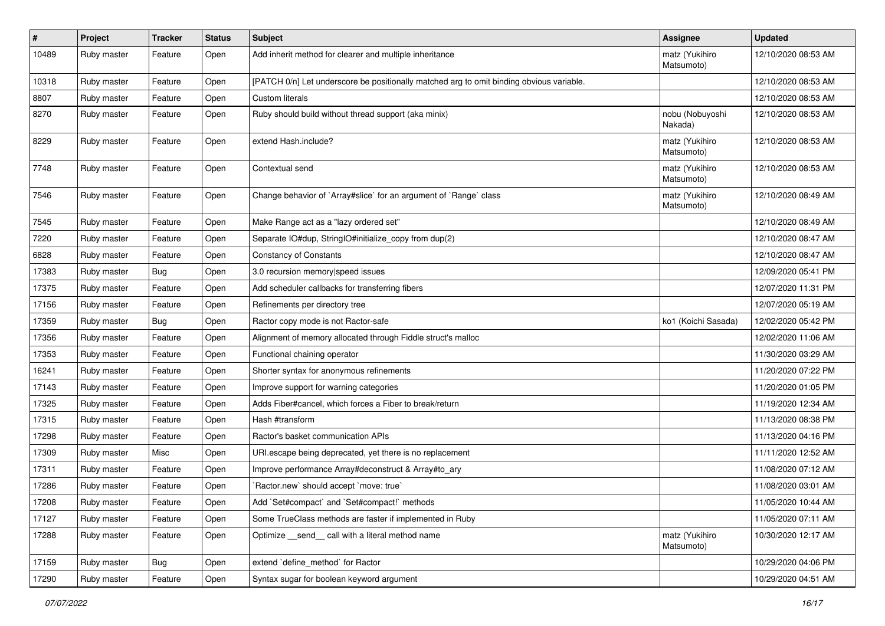| $\vert$ # | Project     | <b>Tracker</b> | <b>Status</b> | <b>Subject</b>                                                                           | <b>Assignee</b>              | <b>Updated</b>      |
|-----------|-------------|----------------|---------------|------------------------------------------------------------------------------------------|------------------------------|---------------------|
| 10489     | Ruby master | Feature        | Open          | Add inherit method for clearer and multiple inheritance                                  | matz (Yukihiro<br>Matsumoto) | 12/10/2020 08:53 AM |
| 10318     | Ruby master | Feature        | Open          | [PATCH 0/n] Let underscore be positionally matched arg to omit binding obvious variable. |                              | 12/10/2020 08:53 AM |
| 8807      | Ruby master | Feature        | Open          | Custom literals                                                                          |                              | 12/10/2020 08:53 AM |
| 8270      | Ruby master | Feature        | Open          | Ruby should build without thread support (aka minix)                                     | nobu (Nobuyoshi<br>Nakada)   | 12/10/2020 08:53 AM |
| 8229      | Ruby master | Feature        | Open          | extend Hash.include?                                                                     | matz (Yukihiro<br>Matsumoto) | 12/10/2020 08:53 AM |
| 7748      | Ruby master | Feature        | Open          | Contextual send                                                                          | matz (Yukihiro<br>Matsumoto) | 12/10/2020 08:53 AM |
| 7546      | Ruby master | Feature        | Open          | Change behavior of `Array#slice` for an argument of `Range` class                        | matz (Yukihiro<br>Matsumoto) | 12/10/2020 08:49 AM |
| 7545      | Ruby master | Feature        | Open          | Make Range act as a "lazy ordered set"                                                   |                              | 12/10/2020 08:49 AM |
| 7220      | Ruby master | Feature        | Open          | Separate IO#dup, StringIO#initialize_copy from dup(2)                                    |                              | 12/10/2020 08:47 AM |
| 6828      | Ruby master | Feature        | Open          | <b>Constancy of Constants</b>                                                            |                              | 12/10/2020 08:47 AM |
| 17383     | Ruby master | <b>Bug</b>     | Open          | 3.0 recursion memory speed issues                                                        |                              | 12/09/2020 05:41 PM |
| 17375     | Ruby master | Feature        | Open          | Add scheduler callbacks for transferring fibers                                          |                              | 12/07/2020 11:31 PM |
| 17156     | Ruby master | Feature        | Open          | Refinements per directory tree                                                           |                              | 12/07/2020 05:19 AM |
| 17359     | Ruby master | Bug            | Open          | Ractor copy mode is not Ractor-safe                                                      | ko1 (Koichi Sasada)          | 12/02/2020 05:42 PM |
| 17356     | Ruby master | Feature        | Open          | Alignment of memory allocated through Fiddle struct's malloc                             |                              | 12/02/2020 11:06 AM |
| 17353     | Ruby master | Feature        | Open          | Functional chaining operator                                                             |                              | 11/30/2020 03:29 AM |
| 16241     | Ruby master | Feature        | Open          | Shorter syntax for anonymous refinements                                                 |                              | 11/20/2020 07:22 PM |
| 17143     | Ruby master | Feature        | Open          | Improve support for warning categories                                                   |                              | 11/20/2020 01:05 PM |
| 17325     | Ruby master | Feature        | Open          | Adds Fiber#cancel, which forces a Fiber to break/return                                  |                              | 11/19/2020 12:34 AM |
| 17315     | Ruby master | Feature        | Open          | Hash #transform                                                                          |                              | 11/13/2020 08:38 PM |
| 17298     | Ruby master | Feature        | Open          | Ractor's basket communication APIs                                                       |                              | 11/13/2020 04:16 PM |
| 17309     | Ruby master | Misc           | Open          | URI escape being deprecated, yet there is no replacement                                 |                              | 11/11/2020 12:52 AM |
| 17311     | Ruby master | Feature        | Open          | Improve performance Array#deconstruct & Array#to_ary                                     |                              | 11/08/2020 07:12 AM |
| 17286     | Ruby master | Feature        | Open          | 'Ractor.new' should accept 'move: true'                                                  |                              | 11/08/2020 03:01 AM |
| 17208     | Ruby master | Feature        | Open          | Add `Set#compact` and `Set#compact!` methods                                             |                              | 11/05/2020 10:44 AM |
| 17127     | Ruby master | Feature        | Open          | Some TrueClass methods are faster if implemented in Ruby                                 |                              | 11/05/2020 07:11 AM |
| 17288     | Ruby master | Feature        | Open          | Optimize send call with a literal method name                                            | matz (Yukihiro<br>Matsumoto) | 10/30/2020 12:17 AM |
| 17159     | Ruby master | Bug            | Open          | extend 'define_method' for Ractor                                                        |                              | 10/29/2020 04:06 PM |
| 17290     | Ruby master | Feature        | Open          | Syntax sugar for boolean keyword argument                                                |                              | 10/29/2020 04:51 AM |